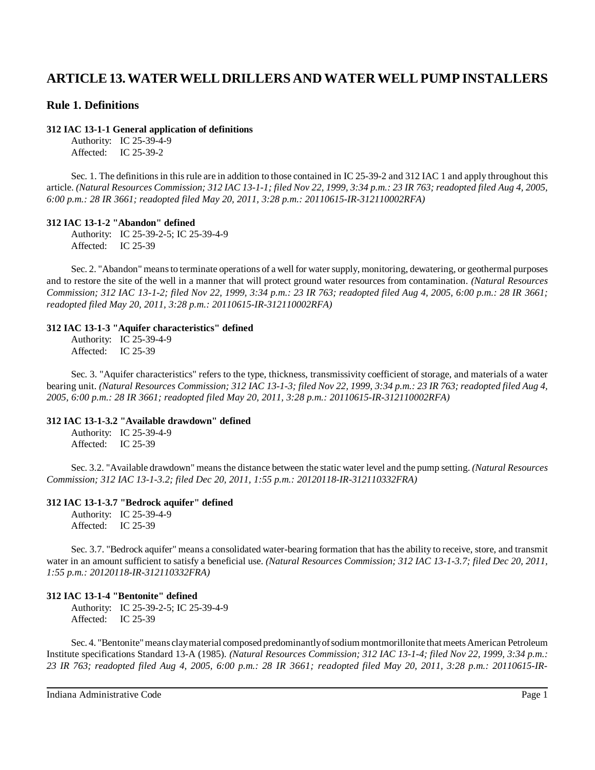# **ARTICLE 13. WATER WELL DRILLERS AND WATER WELL PUMP INSTALLERS**

## **Rule 1. Definitions**

### **312 IAC 13-1-1 General application of definitions**

Authority: IC 25-39-4-9 Affected: IC 25-39-2

Sec. 1. The definitions in this rule are in addition to those contained in IC 25-39-2 and 312 IAC 1 and apply throughout this article. (Natural Resources Commission; 312 IAC 13-1-1; filed Nov 22, 1999, 3:34 p.m.: 23 IR 763; readopted filed Aug 4, 2005, *6:00 p.m.: 28 IR 3661; readopted filed May 20, 2011, 3:28 p.m.: 20110615-IR-312110002RFA)*

## **312 IAC 13-1-2 "Abandon" defined**

Authority: IC 25-39-2-5; IC 25-39-4-9 Affected: IC 25-39

Sec. 2. "Abandon" means to terminate operations of a well for water supply, monitoring, dewatering, or geothermal purposes and to restore the site of the well in a manner that will protect ground water resources from contamination. *(Natural Resources Commission; 312 IAC 13-1-2; filed Nov 22, 1999, 3:34 p.m.: 23 IR 763; readopted filed Aug 4, 2005, 6:00 p.m.: 28 IR 3661; readopted filed May 20, 2011, 3:28 p.m.: 20110615-IR-312110002RFA)*

## **312 IAC 13-1-3 "Aquifer characteristics" defined**

Authority: IC 25-39-4-9 Affected: IC 25-39

Sec. 3. "Aquifer characteristics" refers to the type, thickness, transmissivity coefficient of storage, and materials of a water bearing unit. (Natural Resources Commission; 312 IAC 13-1-3; filed Nov 22, 1999, 3:34 p.m.; 23 IR 763; readopted filed Aug 4, *2005, 6:00 p.m.: 28 IR 3661; readopted filed May 20, 2011, 3:28 p.m.: 20110615-IR-312110002RFA)*

## **312 IAC 13-1-3.2 "Available drawdown" defined**

Authority: IC 25-39-4-9 Affected: IC 25-39

Sec. 3.2. "Available drawdown" meansthe distance between the static water level and the pump setting. *(Natural Resources Commission; 312 IAC 13-1-3.2; filed Dec 20, 2011, 1:55 p.m.: 20120118-IR-312110332FRA)*

## **312 IAC 13-1-3.7 "Bedrock aquifer" defined**

Authority: IC 25-39-4-9 Affected: IC 25-39

Sec. 3.7. "Bedrock aquifer" means a consolidated water-bearing formation that hasthe ability to receive, store, and transmit water in an amount sufficient to satisfy a beneficial use. *(Natural Resources Commission; 312 IAC 13-1-3.7; filed Dec 20, 2011, 1:55 p.m.: 20120118-IR-312110332FRA)*

## **312 IAC 13-1-4 "Bentonite" defined**

Authority: IC 25-39-2-5; IC 25-39-4-9 Affected: IC 25-39

Sec. 4. "Bentonite" means clay material composed predominantly of sodium montmorillonite that meets American Petroleum Institute specifications Standard 13-A (1985). *(Natural Resources Commission; 312 IAC 13-1-4; filed Nov 22, 1999, 3:34 p.m.: 23 IR 763; readopted filed Aug 4, 2005, 6:00 p.m.: 28 IR 3661; readopted filed May 20, 2011, 3:28 p.m.: 20110615-IR-*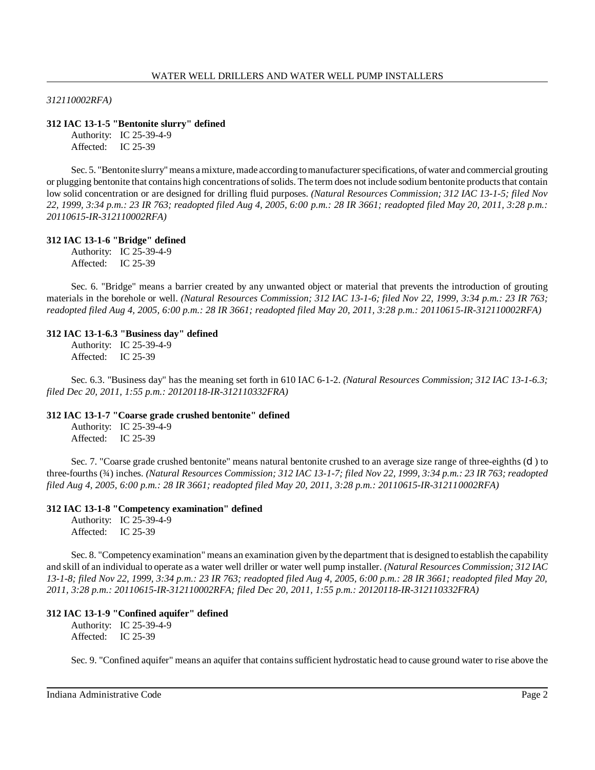*312110002RFA)*

### **312 IAC 13-1-5 "Bentonite slurry" defined**

Authority: IC 25-39-4-9 Affected: IC 25-39

Sec. 5. "Bentonite slurry"means amixture, made according tomanufacturerspecifications, of water and commercial grouting or plugging bentonite that contains high concentrations of solids. The term does not include sodium bentonite products that contain low solid concentration or are designed for drilling fluid purposes. *(Natural Resources Commission; 312 IAC 13-1-5; filed Nov 22, 1999, 3:34 p.m.: 23 IR 763; readopted filed Aug 4, 2005, 6:00 p.m.: 28 IR 3661; readopted filed May 20, 2011, 3:28 p.m.: 20110615-IR-312110002RFA)*

#### **312 IAC 13-1-6 "Bridge" defined**

Authority: IC 25-39-4-9 Affected: IC 25-39

Sec. 6. "Bridge" means a barrier created by any unwanted object or material that prevents the introduction of grouting materials in the borehole or well. *(Natural Resources Commission; 312 IAC 13-1-6; filed Nov 22, 1999, 3:34 p.m.: 23 IR 763; readopted filed Aug 4, 2005, 6:00 p.m.: 28 IR 3661; readopted filed May 20, 2011, 3:28 p.m.: 20110615-IR-312110002RFA)*

### **312 IAC 13-1-6.3 "Business day" defined**

Authority: IC 25-39-4-9 Affected: IC 25-39

Sec. 6.3. "Business day" has the meaning set forth in 610 IAC 6-1-2. *(Natural Resources Commission; 312 IAC 13-1-6.3; filed Dec 20, 2011, 1:55 p.m.: 20120118-IR-312110332FRA)*

#### **312 IAC 13-1-7 "Coarse grade crushed bentonite" defined**

Authority: IC 25-39-4-9 Affected: IC 25-39

Sec. 7. "Coarse grade crushed bentonite" means natural bentonite crushed to an average size range of three-eighths (d) to three-fourths (34) inches. (Natural Resources Commission; 312 IAC 13-1-7; filed Nov 22, 1999, 3:34 p.m.: 23 IR 763; readopted *filed Aug 4, 2005, 6:00 p.m.: 28 IR 3661; readopted filed May 20, 2011, 3:28 p.m.: 20110615-IR-312110002RFA)*

#### **312 IAC 13-1-8 "Competency examination" defined**

Authority: IC 25-39-4-9 Affected: IC 25-39

Sec. 8. "Competencyexamination" means an examination given bythe department that is designed to establish the capability and skill of an individual to operate as a water well driller or water well pump installer. *(Natural Resources Commission; 312 IAC 13-1-8; filed Nov 22, 1999, 3:34 p.m.: 23 IR 763; readopted filed Aug 4, 2005, 6:00 p.m.: 28 IR 3661; readopted filed May 20, 2011, 3:28 p.m.: 20110615-IR-312110002RFA; filed Dec 20, 2011, 1:55 p.m.: 20120118-IR-312110332FRA)*

## **312 IAC 13-1-9 "Confined aquifer" defined**

Authority: IC 25-39-4-9 Affected: IC 25-39

Sec. 9. "Confined aquifer" means an aquifer that containssufficient hydrostatic head to cause ground water to rise above the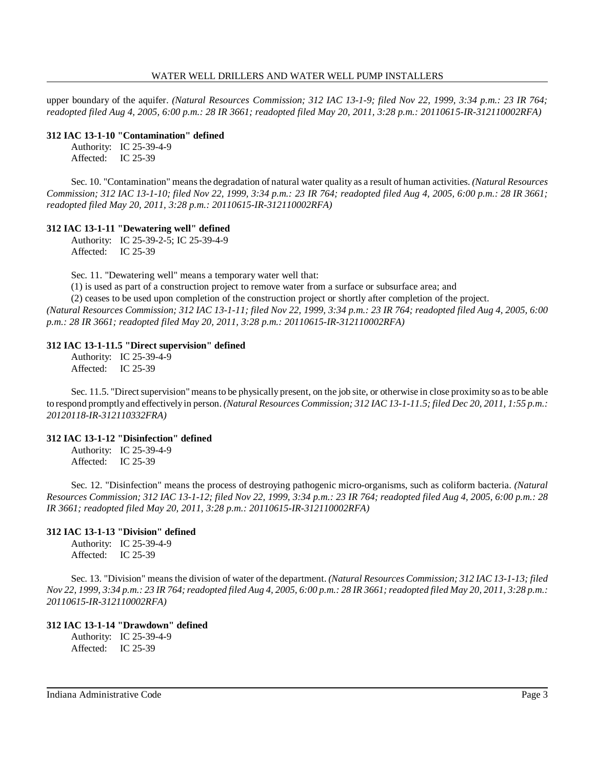upper boundary of the aquifer. *(Natural Resources Commission; 312 IAC 13-1-9; filed Nov 22, 1999, 3:34 p.m.: 23 IR 764; readopted filed Aug 4, 2005, 6:00 p.m.: 28 IR 3661; readopted filed May 20, 2011, 3:28 p.m.: 20110615-IR-312110002RFA)*

### **312 IAC 13-1-10 "Contamination" defined**

Authority: IC 25-39-4-9 Affected: IC 25-39

Sec. 10. "Contamination" meansthe degradation of natural water quality as a result of human activities. *(Natural Resources Commission; 312 IAC 13-1-10; filed Nov 22, 1999, 3:34 p.m.: 23 IR 764; readopted filed Aug 4, 2005, 6:00 p.m.: 28 IR 3661; readopted filed May 20, 2011, 3:28 p.m.: 20110615-IR-312110002RFA)*

## **312 IAC 13-1-11 "Dewatering well" defined**

Authority: IC 25-39-2-5; IC 25-39-4-9 Affected: IC 25-39

Sec. 11. "Dewatering well" means a temporary water well that:

(1) is used as part of a construction project to remove water from a surface or subsurface area; and

(2) ceases to be used upon completion of the construction project or shortly after completion of the project. (Natural Resources Commission; 312 IAC 13-1-11; filed Nov 22, 1999, 3:34 p.m.: 23 IR 764; readopted filed Aug 4, 2005, 6:00 *p.m.: 28 IR 3661; readopted filed May 20, 2011, 3:28 p.m.: 20110615-IR-312110002RFA)*

## **312 IAC 13-1-11.5 "Direct supervision" defined**

Authority: IC 25-39-4-9 Affected: IC 25-39

Sec. 11.5. "Direct supervision" means to be physically present, on the job site, or otherwise in close proximity so as to be able to respond promptlyand effectivelyin person. *(Natural Resources Commission; 312 IAC 13-1-11.5; filed Dec 20, 2011, 1:55 p.m.: 20120118-IR-312110332FRA)*

## **312 IAC 13-1-12 "Disinfection" defined**

Authority: IC 25-39-4-9 Affected: IC 25-39

Sec. 12. "Disinfection" means the process of destroying pathogenic micro-organisms, such as coliform bacteria. *(Natural* Resources Commission; 312 IAC 13-1-12; filed Nov 22, 1999, 3:34 p.m.: 23 IR 764; readopted filed Aug 4, 2005, 6:00 p.m.: 28 *IR 3661; readopted filed May 20, 2011, 3:28 p.m.: 20110615-IR-312110002RFA)*

## **312 IAC 13-1-13 "Division" defined**

Authority: IC 25-39-4-9 Affected: IC 25-39

Sec. 13. "Division" means the division of water of the department. *(Natural Resources Commission; 312 IAC 13-1-13; filed* Nov 22, 1999, 3:34 p.m.: 23 IR 764; readopted filed Aug 4, 2005, 6:00 p.m.: 28 IR 3661; readopted filed May 20, 2011, 3:28 p.m.: *20110615-IR-312110002RFA)*

## **312 IAC 13-1-14 "Drawdown" defined**

Authority: IC 25-39-4-9 Affected: IC 25-39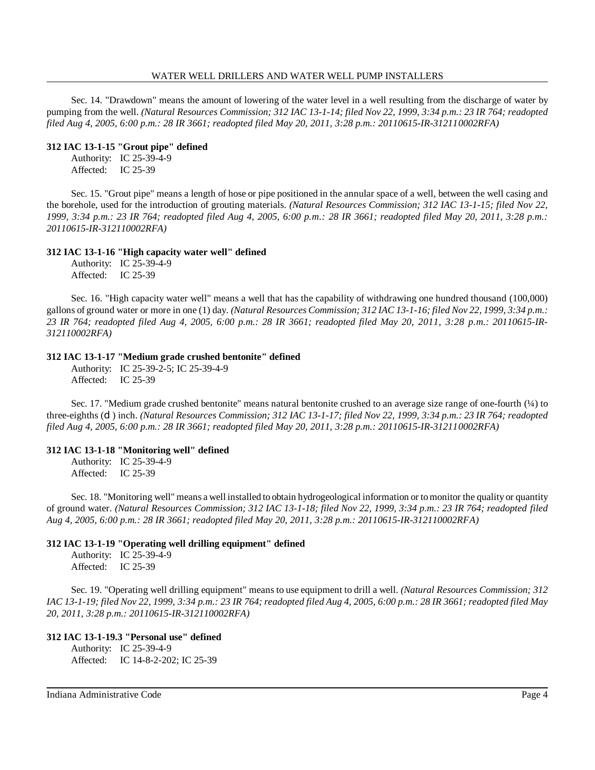Sec. 14. "Drawdown" means the amount of lowering of the water level in a well resulting from the discharge of water by pumping from the well. (Natural Resources Commission; 312 IAC 13-1-14; filed Nov 22, 1999, 3:34 p.m.: 23 IR 764; readopted *filed Aug 4, 2005, 6:00 p.m.: 28 IR 3661; readopted filed May 20, 2011, 3:28 p.m.: 20110615-IR-312110002RFA)*

#### **312 IAC 13-1-15 "Grout pipe" defined**

Authority: IC 25-39-4-9 Affected: IC 25-39

Sec. 15. "Grout pipe" means a length of hose or pipe positioned in the annular space of a well, between the well casing and the borehole, used for the introduction of grouting materials. *(Natural Resources Commission; 312 IAC 13-1-15; filed Nov 22, 1999, 3:34 p.m.: 23 IR 764; readopted filed Aug 4, 2005, 6:00 p.m.: 28 IR 3661; readopted filed May 20, 2011, 3:28 p.m.: 20110615-IR-312110002RFA)*

### **312 IAC 13-1-16 "High capacity water well" defined**

Authority: IC 25-39-4-9 Affected: IC 25-39

Sec. 16. "High capacity water well" means a well that has the capability of withdrawing one hundred thousand (100,000) gallons of ground water or more in one (1) day. *(Natural Resources Commission; 312 IAC 13-1-16; filed Nov 22, 1999, 3:34 p.m.:* 23 IR 764; readopted filed Aug 4, 2005, 6:00 p.m.: 28 IR 3661; readopted filed May 20, 2011, 3:28 p.m.: 20110615-IR-*312110002RFA)*

### **312 IAC 13-1-17 "Medium grade crushed bentonite" defined**

Authority: IC 25-39-2-5; IC 25-39-4-9 Affected: IC 25-39

Sec. 17. "Medium grade crushed bentonite" means natural bentonite crushed to an average size range of one-fourth (¼) to three-eighths (C) inch. (Natural Resources Commission; 312 IAC 13-1-17; filed Nov 22, 1999, 3:34 p.m.: 23 IR 764; readopted *filed Aug 4, 2005, 6:00 p.m.: 28 IR 3661; readopted filed May 20, 2011, 3:28 p.m.: 20110615-IR-312110002RFA)*

## **312 IAC 13-1-18 "Monitoring well" defined**

Authority: IC 25-39-4-9 Affected: IC 25-39

Sec. 18. "Monitoring well" means a well installed to obtain hydrogeological information or tomonitor the quality or quantity of ground water. *(Natural Resources Commission; 312 IAC 13-1-18; filed Nov 22, 1999, 3:34 p.m.: 23 IR 764; readopted filed Aug 4, 2005, 6:00 p.m.: 28 IR 3661; readopted filed May 20, 2011, 3:28 p.m.: 20110615-IR-312110002RFA)*

## **312 IAC 13-1-19 "Operating well drilling equipment" defined**

Authority: IC 25-39-4-9 Affected: IC 25-39

Sec. 19. "Operating well drilling equipment" means to use equipment to drill a well. *(Natural Resources Commission; 312* IAC 13-1-19; filed Nov 22, 1999, 3:34 p.m.: 23 IR 764; readopted filed Aug 4, 2005, 6:00 p.m.: 28 IR 3661; readopted filed May *20, 2011, 3:28 p.m.: 20110615-IR-312110002RFA)*

#### **312 IAC 13-1-19.3 "Personal use" defined**

Authority: IC 25-39-4-9 Affected: IC 14-8-2-202; IC 25-39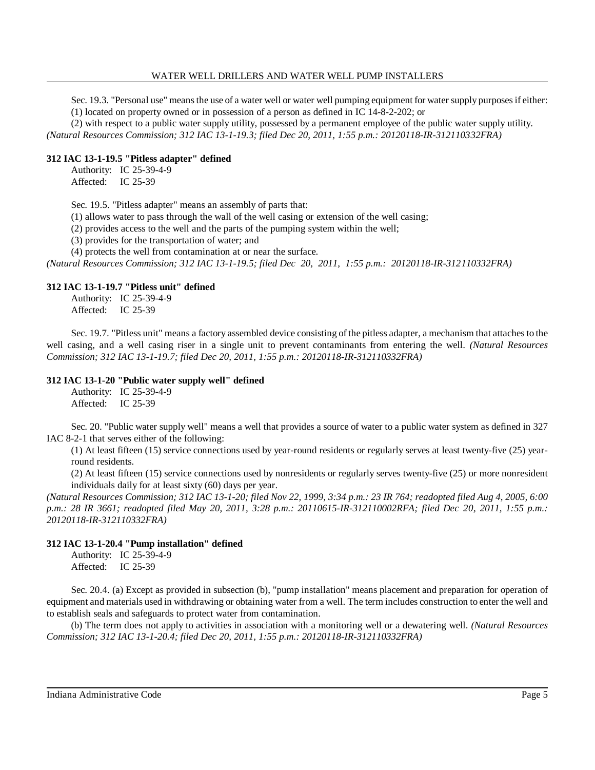Sec. 19.3. "Personal use" means the use of a water well or water well pumping equipment for water supply purposes if either: (1) located on property owned or in possession of a person as defined in IC 14-8-2-202; or

(2) with respect to a public water supply utility, possessed by a permanent employee of the public water supply utility.

*(Natural Resources Commission; 312 IAC 13-1-19.3; filed Dec 20, 2011, 1:55 p.m.: 20120118-IR-312110332FRA)*

### **312 IAC 13-1-19.5 "Pitless adapter" defined**

Authority: IC 25-39-4-9 Affected: IC 25-39

Sec. 19.5. "Pitless adapter" means an assembly of parts that:

(1) allows water to pass through the wall of the well casing or extension of the well casing;

(2) provides access to the well and the parts of the pumping system within the well;

(3) provides for the transportation of water; and

(4) protects the well from contamination at or near the surface.

*(Natural Resources Commission; 312 IAC 13-1-19.5; filed Dec 20, 2011, 1:55 p.m.: 20120118-IR-312110332FRA)*

### **312 IAC 13-1-19.7 "Pitless unit" defined**

Authority: IC 25-39-4-9 Affected: IC 25-39

Sec. 19.7. "Pitless unit" means a factory assembled device consisting of the pitless adapter, a mechanism that attaches to the well casing, and a well casing riser in a single unit to prevent contaminants from entering the well. *(Natural Resources Commission; 312 IAC 13-1-19.7; filed Dec 20, 2011, 1:55 p.m.: 20120118-IR-312110332FRA)*

### **312 IAC 13-1-20 "Public water supply well" defined**

Authority: IC 25-39-4-9 Affected: IC 25-39

Sec. 20. "Public water supply well" means a well that provides a source of water to a public water system as defined in 327 IAC 8-2-1 that serves either of the following:

(1) At least fifteen (15) service connections used by year-round residents or regularly serves at least twenty-five (25) yearround residents.

(2) At least fifteen (15) service connections used by nonresidents or regularly serves twenty-five (25) or more nonresident individuals daily for at least sixty (60) days per year.

(Natural Resources Commission; 312 IAC 13-1-20; filed Nov 22, 1999, 3:34 p.m.: 23 IR 764; readopted filed Aug 4, 2005, 6:00 *p.m.: 28 IR 3661; readopted filed May 20, 2011, 3:28 p.m.: 20110615-IR-312110002RFA; filed Dec 20, 2011, 1:55 p.m.: 20120118-IR-312110332FRA)*

## **312 IAC 13-1-20.4 "Pump installation" defined**

Authority: IC 25-39-4-9 Affected: IC 25-39

Sec. 20.4. (a) Except as provided in subsection (b), "pump installation" means placement and preparation for operation of equipment and materials used in withdrawing or obtaining water from a well. The term includes construction to enter the well and to establish seals and safeguards to protect water from contamination.

(b) The term does not apply to activities in association with a monitoring well or a dewatering well. *(Natural Resources Commission; 312 IAC 13-1-20.4; filed Dec 20, 2011, 1:55 p.m.: 20120118-IR-312110332FRA)*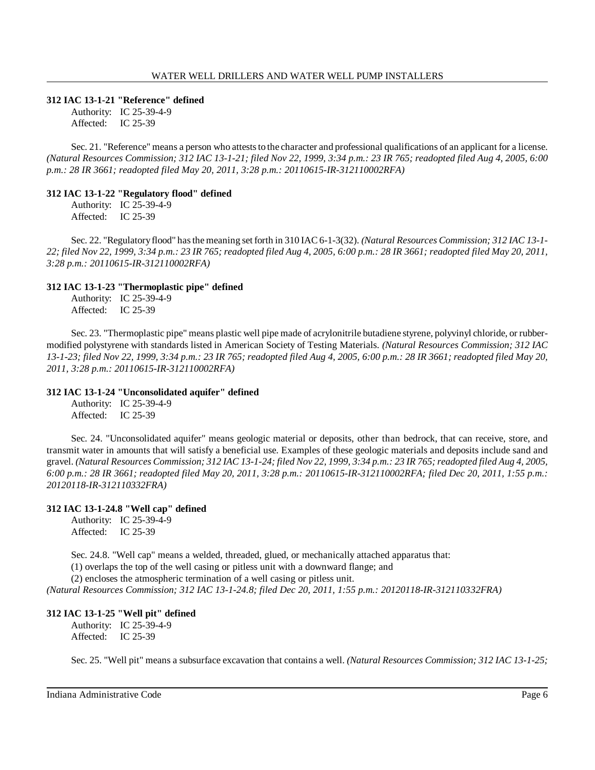#### **312 IAC 13-1-21 "Reference" defined**

Authority: IC 25-39-4-9 Affected: IC 25-39

Sec. 21. "Reference" means a person who atteststo the character and professional qualifications of an applicant for a license. (Natural Resources Commission; 312 IAC 13-1-21; filed Nov 22, 1999, 3:34 p.m.: 23 IR 765; readopted filed Aug 4, 2005, 6:00 *p.m.: 28 IR 3661; readopted filed May 20, 2011, 3:28 p.m.: 20110615-IR-312110002RFA)*

#### **312 IAC 13-1-22 "Regulatory flood" defined**

Authority: IC 25-39-4-9 Affected: IC 25-39

Sec. 22. "Regulatoryflood" hasthemeaning set forth in 310 IAC 6-1-3(32). *(Natural Resources Commission; 312 IAC 13-1-* 22; filed Nov 22, 1999, 3:34 p.m.: 23 IR 765; readopted filed Aug 4, 2005, 6:00 p.m.: 28 IR 3661; readopted filed May 20, 2011, *3:28 p.m.: 20110615-IR-312110002RFA)*

### **312 IAC 13-1-23 "Thermoplastic pipe" defined**

Authority: IC 25-39-4-9 Affected: IC 25-39

Sec. 23. "Thermoplastic pipe" means plastic well pipe made of acrylonitrile butadiene styrene, polyvinyl chloride, or rubbermodified polystyrene with standards listed in American Society of Testing Materials. *(Natural Resources Commission; 312 IAC* 13-1-23; filed Nov 22, 1999, 3:34 p.m.: 23 IR 765; readopted filed Aug 4, 2005, 6:00 p.m.: 28 IR 3661; readopted filed May 20, *2011, 3:28 p.m.: 20110615-IR-312110002RFA)*

## **312 IAC 13-1-24 "Unconsolidated aquifer" defined**

Authority: IC 25-39-4-9 Affected: IC 25-39

Sec. 24. "Unconsolidated aquifer" means geologic material or deposits, other than bedrock, that can receive, store, and transmit water in amounts that will satisfy a beneficial use. Examples of these geologic materials and deposits include sand and gravel. (Natural Resources Commission; 312 IAC 13-1-24; filed Nov 22, 1999, 3:34 p.m.: 23 IR 765; readopted filed Aug 4, 2005, *6:00 p.m.: 28 IR 3661; readopted filed May 20, 2011, 3:28 p.m.: 20110615-IR-312110002RFA; filed Dec 20, 2011, 1:55 p.m.: 20120118-IR-312110332FRA)*

## **312 IAC 13-1-24.8 "Well cap" defined**

Authority: IC 25-39-4-9 Affected: IC 25-39

Sec. 24.8. "Well cap" means a welded, threaded, glued, or mechanically attached apparatus that:

(1) overlaps the top of the well casing or pitless unit with a downward flange; and

(2) encloses the atmospheric termination of a well casing or pitless unit.

*(Natural Resources Commission; 312 IAC 13-1-24.8; filed Dec 20, 2011, 1:55 p.m.: 20120118-IR-312110332FRA)*

## **312 IAC 13-1-25 "Well pit" defined**

Authority: IC 25-39-4-9 Affected: IC 25-39

Sec. 25. "Well pit" means a subsurface excavation that contains a well. *(Natural Resources Commission; 312 IAC 13-1-25;*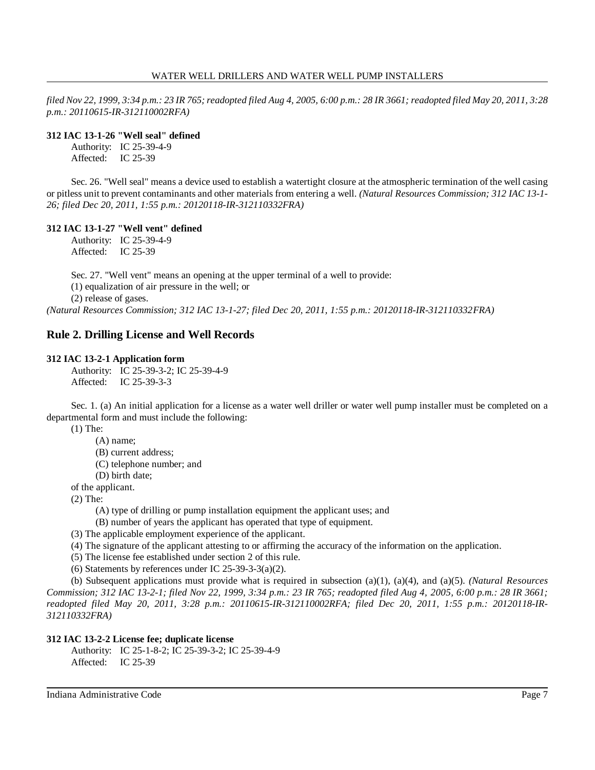filed Nov 22, 1999, 3:34 p.m.: 23 IR 765; readopted filed Aug 4, 2005, 6:00 p.m.: 28 IR 3661; readopted filed May 20, 2011, 3:28 *p.m.: 20110615-IR-312110002RFA)*

## **312 IAC 13-1-26 "Well seal" defined**

Authority: IC 25-39-4-9 Affected: IC 25-39

Sec. 26. "Well seal" means a device used to establish a watertight closure at the atmospheric termination of the well casing or pitless unit to prevent contaminants and other materials from entering a well. *(Natural Resources Commission; 312 IAC 13-1- 26; filed Dec 20, 2011, 1:55 p.m.: 20120118-IR-312110332FRA)*

## **312 IAC 13-1-27 "Well vent" defined**

Authority: IC 25-39-4-9 Affected: IC 25-39

Sec. 27. "Well vent" means an opening at the upper terminal of a well to provide:

(1) equalization of air pressure in the well; or

(2) release of gases.

*(Natural Resources Commission; 312 IAC 13-1-27; filed Dec 20, 2011, 1:55 p.m.: 20120118-IR-312110332FRA)*

# **Rule 2. Drilling License and Well Records**

## **312 IAC 13-2-1 Application form**

Authority: IC 25-39-3-2; IC 25-39-4-9 Affected: IC 25-39-3-3

Sec. 1. (a) An initial application for a license as a water well driller or water well pump installer must be completed on a departmental form and must include the following:

(1) The:

(A) name;

(B) current address;

- (C) telephone number; and
- (D) birth date;

of the applicant.

(2) The:

(A) type of drilling or pump installation equipment the applicant uses; and

(B) number of years the applicant has operated that type of equipment.

- (3) The applicable employment experience of the applicant.
- (4) The signature of the applicant attesting to or affirming the accuracy of the information on the application.

(5) The license fee established under section 2 of this rule.

(6) Statements by references under IC  $25-39-3-3(a)(2)$ .

(b) Subsequent applications must provide what is required in subsection (a)(1), (a)(4), and (a)(5). *(Natural Resources* Commission; 312 IAC 13-2-1; filed Nov 22, 1999, 3:34 p.m.: 23 IR 765; readopted filed Aug 4, 2005, 6:00 p.m.: 28 IR 3661; *readopted filed May 20, 2011, 3:28 p.m.: 20110615-IR-312110002RFA; filed Dec 20, 2011, 1:55 p.m.: 20120118-IR-312110332FRA)*

## **312 IAC 13-2-2 License fee; duplicate license**

Authority: IC 25-1-8-2; IC 25-39-3-2; IC 25-39-4-9 Affected: IC 25-39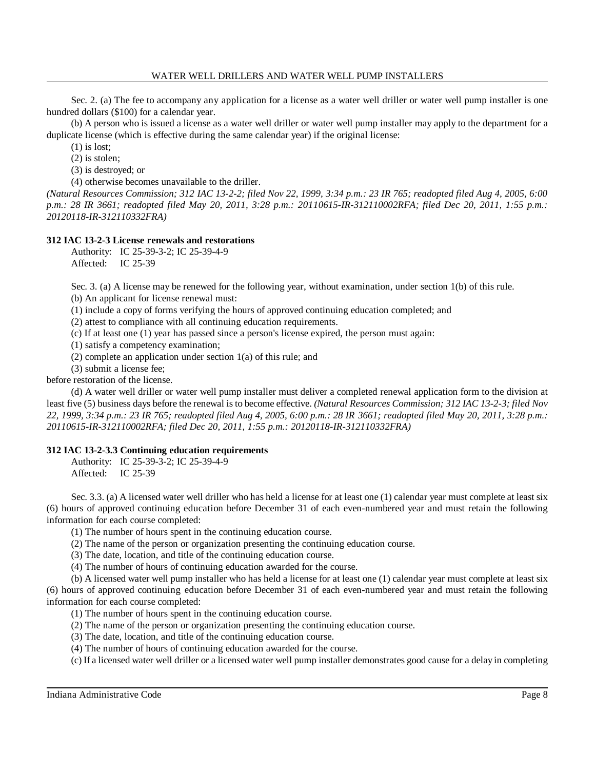Sec. 2. (a) The fee to accompany any application for a license as a water well driller or water well pump installer is one hundred dollars (\$100) for a calendar year.

(b) A person who is issued a license as a water well driller or water well pump installer may apply to the department for a duplicate license (which is effective during the same calendar year) if the original license:

(1) is lost;

(2) is stolen;

(3) is destroyed; or

(4) otherwise becomes unavailable to the driller.

*(Natural Resources Commission; 312 IAC 13-2-2; filed Nov 22, 1999, 3:34 p.m.: 23 IR 765; readopted filed Aug 4, 2005, 6:00 p.m.: 28 IR 3661; readopted filed May 20, 2011, 3:28 p.m.: 20110615-IR-312110002RFA; filed Dec 20, 2011, 1:55 p.m.: 20120118-IR-312110332FRA)*

### **312 IAC 13-2-3 License renewals and restorations**

Authority: IC 25-39-3-2; IC 25-39-4-9

Affected: IC 25-39

Sec. 3. (a) A license may be renewed for the following year, without examination, under section 1(b) of this rule. (b) An applicant for license renewal must:

(1) include a copy of forms verifying the hours of approved continuing education completed; and

(2) attest to compliance with all continuing education requirements.

(c) If at least one (1) year has passed since a person's license expired, the person must again:

(1) satisfy a competency examination;

(2) complete an application under section 1(a) of this rule; and

(3) submit a license fee;

before restoration of the license.

(d) A water well driller or water well pump installer must deliver a completed renewal application form to the division at least five (5) business days before the renewal is to become effective. *(Natural Resources Commission; 312 IAC 13-2-3; filed Nov 22, 1999, 3:34 p.m.: 23 IR 765; readopted filed Aug 4, 2005, 6:00 p.m.: 28 IR 3661; readopted filed May 20, 2011, 3:28 p.m.: 20110615-IR-312110002RFA; filed Dec 20, 2011, 1:55 p.m.: 20120118-IR-312110332FRA)*

## **312 IAC 13-2-3.3 Continuing education requirements**

Authority: IC 25-39-3-2; IC 25-39-4-9 Affected: IC 25-39

Sec. 3.3. (a) A licensed water well driller who has held a license for at least one (1) calendar year must complete at least six (6) hours of approved continuing education before December 31 of each even-numbered year and must retain the following information for each course completed:

(1) The number of hours spent in the continuing education course.

(2) The name of the person or organization presenting the continuing education course.

(3) The date, location, and title of the continuing education course.

(4) The number of hours of continuing education awarded for the course.

(b) A licensed water well pump installer who has held a license for at least one (1) calendar year must complete at least six (6) hours of approved continuing education before December 31 of each even-numbered year and must retain the following information for each course completed:

(1) The number of hours spent in the continuing education course.

(2) The name of the person or organization presenting the continuing education course.

(3) The date, location, and title of the continuing education course.

(4) The number of hours of continuing education awarded for the course.

(c) If a licensed water well driller or a licensed water well pump installer demonstrates good cause for a delay in completing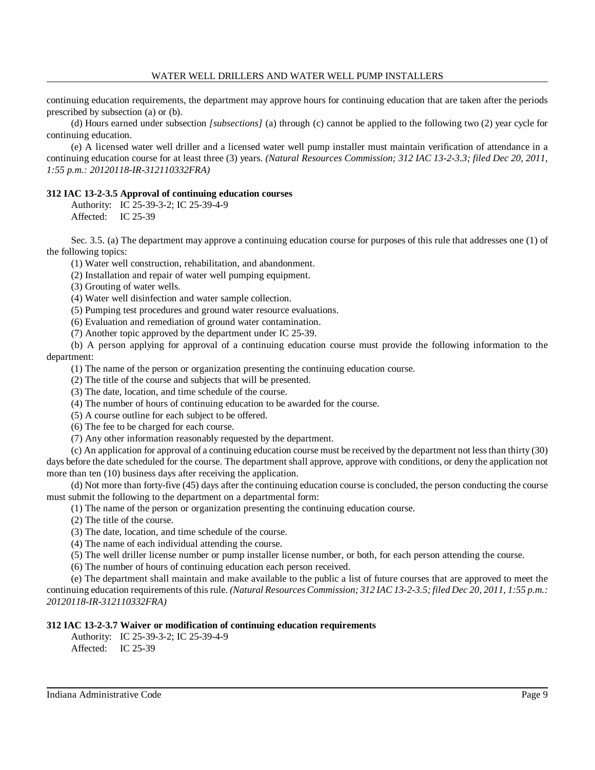continuing education requirements, the department may approve hours for continuing education that are taken after the periods prescribed by subsection (a) or (b).

(d) Hours earned under subsection *[subsections]* (a) through (c) cannot be applied to the following two (2) year cycle for continuing education.

(e) A licensed water well driller and a licensed water well pump installer must maintain verification of attendance in a continuing education course for at least three (3) years. *(Natural Resources Commission; 312 IAC 13-2-3.3; filed Dec 20, 2011, 1:55 p.m.: 20120118-IR-312110332FRA)*

## **312 IAC 13-2-3.5 Approval of continuing education courses**

Authority: IC 25-39-3-2; IC 25-39-4-9 Affected: IC 25-39

Sec. 3.5. (a) The department may approve a continuing education course for purposes of this rule that addresses one (1) of the following topics:

(1) Water well construction, rehabilitation, and abandonment.

(2) Installation and repair of water well pumping equipment.

(3) Grouting of water wells.

(4) Water well disinfection and water sample collection.

(5) Pumping test procedures and ground water resource evaluations.

(6) Evaluation and remediation of ground water contamination.

(7) Another topic approved by the department under IC 25-39.

(b) A person applying for approval of a continuing education course must provide the following information to the department:

(1) The name of the person or organization presenting the continuing education course.

(2) The title of the course and subjects that will be presented.

(3) The date, location, and time schedule of the course.

(4) The number of hours of continuing education to be awarded for the course.

(5) A course outline for each subject to be offered.

(6) The fee to be charged for each course.

(7) Any other information reasonably requested by the department.

(c) An application for approval of a continuing education course must be received by the department not lessthan thirty (30) days before the date scheduled for the course. The department shall approve, approve with conditions, or deny the application not more than ten (10) business days after receiving the application.

(d) Not more than forty-five (45) days after the continuing education course is concluded, the person conducting the course must submit the following to the department on a departmental form:

(1) The name of the person or organization presenting the continuing education course.

(2) The title of the course.

(3) The date, location, and time schedule of the course.

(4) The name of each individual attending the course.

(5) The well driller license number or pump installer license number, or both, for each person attending the course.

(6) The number of hours of continuing education each person received.

(e) The department shall maintain and make available to the public a list of future courses that are approved to meet the continuing education requirements of thisrule. *(Natural ResourcesCommission; 312 IAC 13-2-3.5; filed Dec 20, 2011, 1:55 p.m.: 20120118-IR-312110332FRA)*

## **312 IAC 13-2-3.7 Waiver or modification of continuing education requirements**

Authority: IC 25-39-3-2; IC 25-39-4-9

Affected: IC 25-39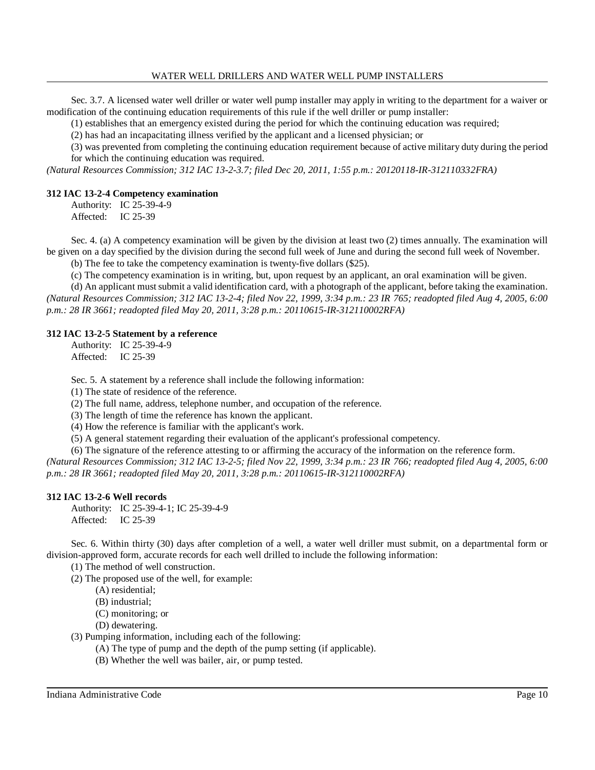Sec. 3.7. A licensed water well driller or water well pump installer may apply in writing to the department for a waiver or modification of the continuing education requirements of this rule if the well driller or pump installer:

(1) establishes that an emergency existed during the period for which the continuing education was required;

(2) has had an incapacitating illness verified by the applicant and a licensed physician; or

(3) was prevented from completing the continuing education requirement because of active military duty during the period for which the continuing education was required.

*(Natural Resources Commission; 312 IAC 13-2-3.7; filed Dec 20, 2011, 1:55 p.m.: 20120118-IR-312110332FRA)*

## **312 IAC 13-2-4 Competency examination**

Authority: IC 25-39-4-9 Affected: IC 25-39

Sec. 4. (a) A competency examination will be given by the division at least two (2) times annually. The examination will be given on a day specified by the division during the second full week of June and during the second full week of November.

(b) The fee to take the competency examination is twenty-five dollars (\$25).

(c) The competency examination is in writing, but, upon request by an applicant, an oral examination will be given.

(d) An applicant must submit a valid identification card, with a photograph of the applicant, before taking the examination. *(Natural Resources Commission; 312 IAC 13-2-4; filed Nov 22, 1999, 3:34 p.m.: 23 IR 765; readopted filed Aug 4, 2005, 6:00 p.m.: 28 IR 3661; readopted filed May 20, 2011, 3:28 p.m.: 20110615-IR-312110002RFA)*

## **312 IAC 13-2-5 Statement by a reference**

Authority: IC 25-39-4-9 Affected: IC 25-39

Sec. 5. A statement by a reference shall include the following information:

(1) The state of residence of the reference.

(2) The full name, address, telephone number, and occupation of the reference.

(3) The length of time the reference has known the applicant.

(4) How the reference is familiar with the applicant's work.

(5) A general statement regarding their evaluation of the applicant's professional competency.

(6) The signature of the reference attesting to or affirming the accuracy of the information on the reference form. *(Natural Resources Commission; 312 IAC 13-2-5; filed Nov 22, 1999, 3:34 p.m.: 23 IR 766; readopted filed Aug 4, 2005, 6:00 p.m.: 28 IR 3661; readopted filed May 20, 2011, 3:28 p.m.: 20110615-IR-312110002RFA)*

## **312 IAC 13-2-6 Well records**

Authority: IC 25-39-4-1; IC 25-39-4-9 Affected: IC 25-39

Sec. 6. Within thirty (30) days after completion of a well, a water well driller must submit, on a departmental form or division-approved form, accurate records for each well drilled to include the following information:

(1) The method of well construction.

(2) The proposed use of the well, for example:

- (A) residential;
- (B) industrial;
- (C) monitoring; or
- (D) dewatering.

(3) Pumping information, including each of the following:

(A) The type of pump and the depth of the pump setting (if applicable).

(B) Whether the well was bailer, air, or pump tested.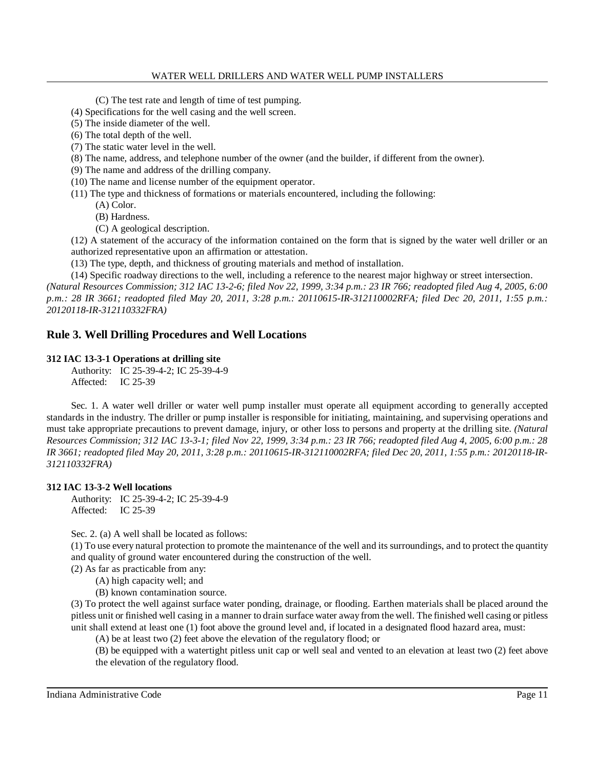(C) The test rate and length of time of test pumping.

- (4) Specifications for the well casing and the well screen.
- (5) The inside diameter of the well.
- (6) The total depth of the well.
- (7) The static water level in the well.
- (8) The name, address, and telephone number of the owner (and the builder, if different from the owner).
- (9) The name and address of the drilling company.
- (10) The name and license number of the equipment operator.
- (11) The type and thickness of formations or materials encountered, including the following:
	- (A) Color.
		- (B) Hardness.
		- (C) A geological description.

(12) A statement of the accuracy of the information contained on the form that is signed by the water well driller or an authorized representative upon an affirmation or attestation.

(13) The type, depth, and thickness of grouting materials and method of installation.

(14) Specific roadway directions to the well, including a reference to the nearest major highway or street intersection. *(Natural Resources Commission; 312 IAC 13-2-6; filed Nov 22, 1999, 3:34 p.m.: 23 IR 766; readopted filed Aug 4, 2005, 6:00*

*p.m.: 28 IR 3661; readopted filed May 20, 2011, 3:28 p.m.: 20110615-IR-312110002RFA; filed Dec 20, 2011, 1:55 p.m.: 20120118-IR-312110332FRA)*

## **Rule 3. Well Drilling Procedures and Well Locations**

### **312 IAC 13-3-1 Operations at drilling site**

Authority: IC 25-39-4-2; IC 25-39-4-9 Affected: IC 25-39

Sec. 1. A water well driller or water well pump installer must operate all equipment according to generally accepted standards in the industry. The driller or pump installer is responsible for initiating, maintaining, and supervising operations and must take appropriate precautions to prevent damage, injury, or other loss to persons and property at the drilling site. *(Natural Resources Commission; 312 IAC 13-3-1; filed Nov 22, 1999, 3:34 p.m.: 23 IR 766; readopted filed Aug 4, 2005, 6:00 p.m.: 28 IR 3661; readopted filed May 20, 2011, 3:28 p.m.: 20110615-IR-312110002RFA; filed Dec 20, 2011, 1:55 p.m.: 20120118-IR-312110332FRA)*

#### **312 IAC 13-3-2 Well locations**

Authority: IC 25-39-4-2; IC 25-39-4-9 Affected: IC 25-39

Sec. 2. (a) A well shall be located as follows:

(1) To use every natural protection to promote the maintenance of the well and its surroundings, and to protect the quantity and quality of ground water encountered during the construction of the well.

(2) As far as practicable from any:

(A) high capacity well; and

(B) known contamination source.

(3) To protect the well against surface water ponding, drainage, or flooding. Earthen materials shall be placed around the pitless unit or finished well casing in a manner to drain surface water away from the well. The finished well casing or pitless unit shall extend at least one (1) foot above the ground level and, if located in a designated flood hazard area, must:

(A) be at least two (2) feet above the elevation of the regulatory flood; or

(B) be equipped with a watertight pitless unit cap or well seal and vented to an elevation at least two (2) feet above the elevation of the regulatory flood.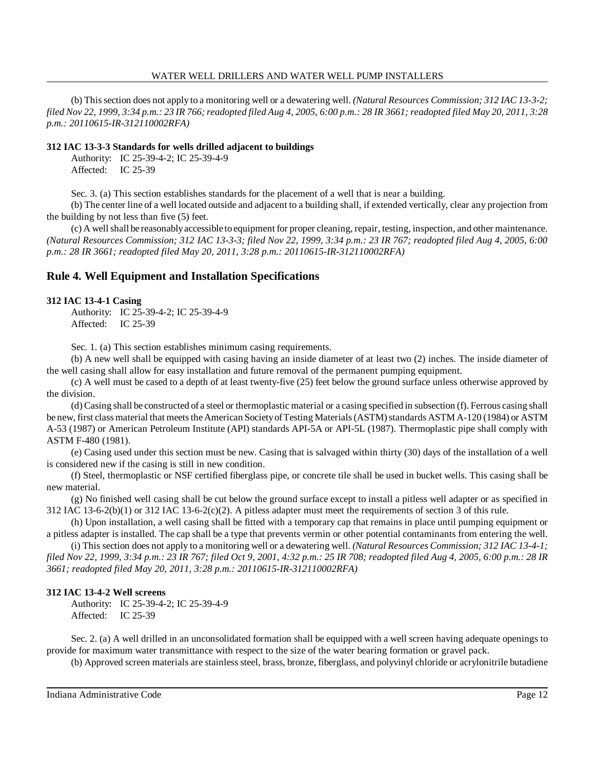(b) Thissection does not apply to a monitoring well or a dewatering well. *(Natural Resources Commission; 312 IAC 13-3-2;* filed Nov 22, 1999, 3:34 p.m.: 23 IR 766; readopted filed Aug 4, 2005, 6:00 p.m.: 28 IR 3661; readopted filed May 20, 2011, 3:28 *p.m.: 20110615-IR-312110002RFA)*

#### **312 IAC 13-3-3 Standards for wells drilled adjacent to buildings**

Authority: IC 25-39-4-2; IC 25-39-4-9 Affected: IC 25-39

Sec. 3. (a) This section establishes standards for the placement of a well that is near a building.

(b) The center line of a well located outside and adjacent to a building shall, if extended vertically, clear any projection from the building by not less than five (5) feet.

(c) A wellshall be reasonablyaccessible to equipment for proper cleaning, repair, testing, inspection, and other maintenance. *(Natural Resources Commission; 312 IAC 13-3-3; filed Nov 22, 1999, 3:34 p.m.: 23 IR 767; readopted filed Aug 4, 2005, 6:00 p.m.: 28 IR 3661; readopted filed May 20, 2011, 3:28 p.m.: 20110615-IR-312110002RFA)*

## **Rule 4. Well Equipment and Installation Specifications**

#### **312 IAC 13-4-1 Casing**

Authority: IC 25-39-4-2; IC 25-39-4-9 Affected: IC 25-39

Sec. 1. (a) This section establishes minimum casing requirements.

(b) A new well shall be equipped with casing having an inside diameter of at least two (2) inches. The inside diameter of the well casing shall allow for easy installation and future removal of the permanent pumping equipment.

(c) A well must be cased to a depth of at least twenty-five (25) feet below the ground surface unless otherwise approved by the division.

(d) Casing shall be constructed of a steel or thermoplastic material or a casing specified in subsection (f). Ferrous casing shall be new, first class material that meets the American Society of Testing Materials (ASTM) standards ASTM A-120 (1984) or ASTM A-53 (1987) or American Petroleum Institute (API) standards API-5A or API-5L (1987). Thermoplastic pipe shall comply with ASTM F-480 (1981).

(e) Casing used under this section must be new. Casing that is salvaged within thirty (30) days of the installation of a well is considered new if the casing is still in new condition.

(f) Steel, thermoplastic or NSF certified fiberglass pipe, or concrete tile shall be used in bucket wells. This casing shall be new material.

(g) No finished well casing shall be cut below the ground surface except to install a pitless well adapter or as specified in 312 IAC 13-6-2(b)(1) or 312 IAC 13-6-2(c)(2). A pitless adapter must meet the requirements of section 3 of this rule.

(h) Upon installation, a well casing shall be fitted with a temporary cap that remains in place until pumping equipment or a pitless adapter is installed. The cap shall be a type that prevents vermin or other potential contaminants from entering the well.

(i) This section does not apply to a monitoring well or a dewatering well. *(Natural Resources Commission; 312 IAC 13-4-1;* filed Nov 22, 1999, 3:34 p.m.: 23 IR 767; filed Oct 9, 2001, 4:32 p.m.: 25 IR 708; readopted filed Aug 4, 2005, 6:00 p.m.: 28 IR *3661; readopted filed May 20, 2011, 3:28 p.m.: 20110615-IR-312110002RFA)*

#### **312 IAC 13-4-2 Well screens**

Authority: IC 25-39-4-2; IC 25-39-4-9 Affected: IC 25-39

Sec. 2. (a) A well drilled in an unconsolidated formation shall be equipped with a well screen having adequate openings to provide for maximum water transmittance with respect to the size of the water bearing formation or gravel pack.

(b) Approved screen materials are stainless steel, brass, bronze, fiberglass, and polyvinyl chloride or acrylonitrile butadiene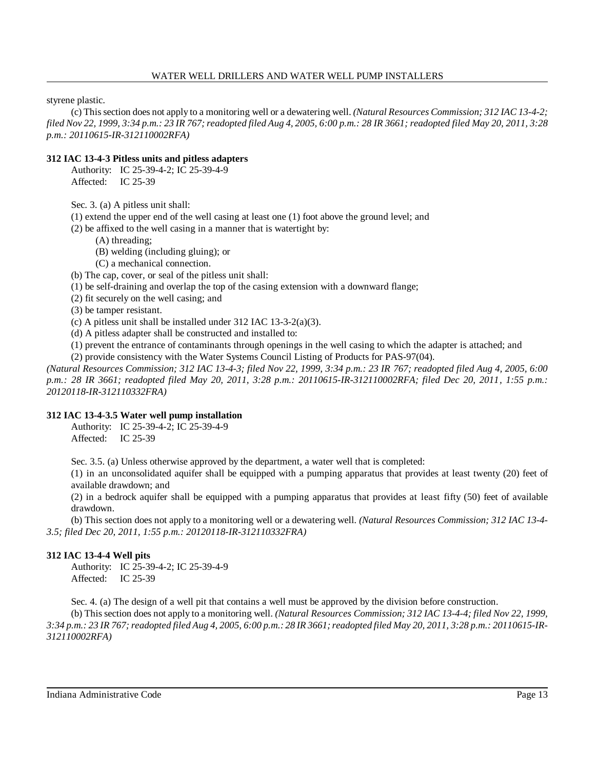styrene plastic.

(c) Thissection does not apply to a monitoring well or a dewatering well. *(Natural Resources Commission; 312 IAC 13-4-2;* filed Nov 22, 1999, 3:34 p.m.: 23 IR 767; readopted filed Aug 4, 2005, 6:00 p.m.: 28 IR 3661; readopted filed May 20, 2011, 3:28 *p.m.: 20110615-IR-312110002RFA)*

## **312 IAC 13-4-3 Pitless units and pitless adapters**

Authority: IC 25-39-4-2; IC 25-39-4-9 Affected: IC 25-39

Sec. 3. (a) A pitless unit shall:

(1) extend the upper end of the well casing at least one (1) foot above the ground level; and

(2) be affixed to the well casing in a manner that is watertight by:

- (A) threading;
- (B) welding (including gluing); or
- (C) a mechanical connection.

(b) The cap, cover, or seal of the pitless unit shall:

(1) be self-draining and overlap the top of the casing extension with a downward flange;

(2) fit securely on the well casing; and

(3) be tamper resistant.

(c) A pitless unit shall be installed under 312 IAC 13-3-2(a)(3).

(d) A pitless adapter shall be constructed and installed to:

(1) prevent the entrance of contaminants through openings in the well casing to which the adapter is attached; and

(2) provide consistency with the Water Systems Council Listing of Products for PAS-97(04).

*(Natural Resources Commission; 312 IAC 13-4-3; filed Nov 22, 1999, 3:34 p.m.: 23 IR 767; readopted filed Aug 4, 2005, 6:00 p.m.: 28 IR 3661; readopted filed May 20, 2011, 3:28 p.m.: 20110615-IR-312110002RFA; filed Dec 20, 2011, 1:55 p.m.: 20120118-IR-312110332FRA)*

## **312 IAC 13-4-3.5 Water well pump installation**

Authority: IC 25-39-4-2; IC 25-39-4-9 Affected: IC 25-39

Sec. 3.5. (a) Unless otherwise approved by the department, a water well that is completed:

(1) in an unconsolidated aquifer shall be equipped with a pumping apparatus that provides at least twenty (20) feet of available drawdown; and

(2) in a bedrock aquifer shall be equipped with a pumping apparatus that provides at least fifty (50) feet of available drawdown.

(b) This section does not apply to a monitoring well or a dewatering well. *(Natural Resources Commission; 312 IAC 13-4- 3.5; filed Dec 20, 2011, 1:55 p.m.: 20120118-IR-312110332FRA)*

## **312 IAC 13-4-4 Well pits**

Authority: IC 25-39-4-2; IC 25-39-4-9 Affected: IC 25-39

Sec. 4. (a) The design of a well pit that contains a well must be approved by the division before construction.

(b) This section does not apply to a monitoring well. *(Natural Resources Commission; 312 IAC 13-4-4; filed Nov 22, 1999,* 3:34 p.m.: 23 IR 767; readopted filed Aug 4, 2005, 6:00 p.m.: 28 IR 3661; readopted filed May 20, 2011, 3:28 p.m.: 20110615-IR-*312110002RFA)*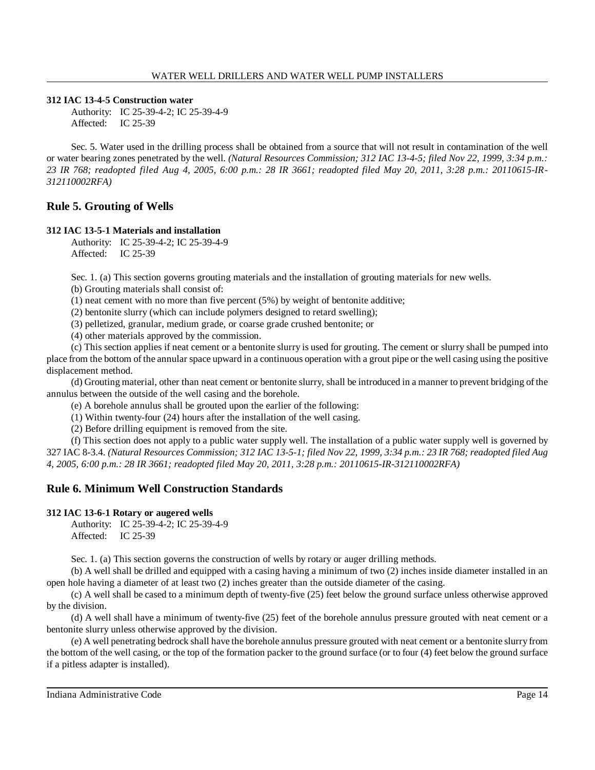## **312 IAC 13-4-5 Construction water**

Authority: IC 25-39-4-2; IC 25-39-4-9 Affected: IC 25-39

Sec. 5. Water used in the drilling process shall be obtained from a source that will not result in contamination of the well or water bearing zones penetrated by the well. *(Natural Resources Commission; 312 IAC 13-4-5; filed Nov 22, 1999, 3:34 p.m.: 23 IR 768; readopted filed Aug 4, 2005, 6:00 p.m.: 28 IR 3661; readopted filed May 20, 2011, 3:28 p.m.: 20110615-IR-312110002RFA)*

# **Rule 5. Grouting of Wells**

## **312 IAC 13-5-1 Materials and installation**

Authority: IC 25-39-4-2; IC 25-39-4-9 Affected: IC 25-39

Sec. 1. (a) This section governs grouting materials and the installation of grouting materials for new wells.

(b) Grouting materials shall consist of:

(1) neat cement with no more than five percent (5%) by weight of bentonite additive;

(2) bentonite slurry (which can include polymers designed to retard swelling);

(3) pelletized, granular, medium grade, or coarse grade crushed bentonite; or

(4) other materials approved by the commission.

(c) This section applies if neat cement or a bentonite slurry is used for grouting. The cement or slurry shall be pumped into place from the bottom of the annular space upward in a continuous operation with a grout pipe or the well casing using the positive displacement method.

(d) Grouting material, other than neat cement or bentonite slurry, shall be introduced in a manner to prevent bridging of the annulus between the outside of the well casing and the borehole.

(e) A borehole annulus shall be grouted upon the earlier of the following:

(1) Within twenty-four (24) hours after the installation of the well casing.

(2) Before drilling equipment is removed from the site.

(f) This section does not apply to a public water supply well. The installation of a public water supply well is governed by 327 IAC 8-3.4. (Natural Resources Commission; 312 IAC 13-5-1; filed Nov 22, 1999, 3:34 p.m.: 23 IR 768; readopted filed Aug *4, 2005, 6:00 p.m.: 28 IR 3661; readopted filed May 20, 2011, 3:28 p.m.: 20110615-IR-312110002RFA)*

# **Rule 6. Minimum Well Construction Standards**

## **312 IAC 13-6-1 Rotary or augered wells**

Authority: IC 25-39-4-2; IC 25-39-4-9 Affected: IC 25-39

Sec. 1. (a) This section governs the construction of wells by rotary or auger drilling methods.

(b) A well shall be drilled and equipped with a casing having a minimum of two (2) inches inside diameter installed in an open hole having a diameter of at least two (2) inches greater than the outside diameter of the casing.

(c) A well shall be cased to a minimum depth of twenty-five (25) feet below the ground surface unless otherwise approved by the division.

(d) A well shall have a minimum of twenty-five (25) feet of the borehole annulus pressure grouted with neat cement or a bentonite slurry unless otherwise approved by the division.

(e) A well penetrating bedrock shall have the borehole annulus pressure grouted with neat cement or a bentonite slurry from the bottom of the well casing, or the top of the formation packer to the ground surface (or to four (4) feet below the ground surface if a pitless adapter is installed).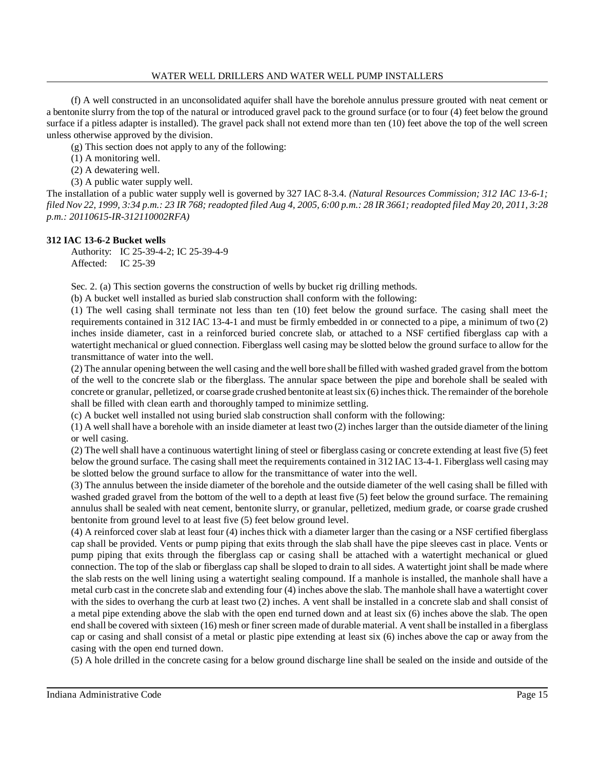(f) A well constructed in an unconsolidated aquifer shall have the borehole annulus pressure grouted with neat cement or a bentonite slurry from the top of the natural or introduced gravel pack to the ground surface (or to four (4) feet below the ground surface if a pitless adapter is installed). The gravel pack shall not extend more than ten (10) feet above the top of the well screen unless otherwise approved by the division.

(g) This section does not apply to any of the following:

- (1) A monitoring well.
- (2) A dewatering well.
- (3) A public water supply well.

The installation of a public water supply well is governed by 327 IAC 8-3.4. *(Natural Resources Commission; 312 IAC 13-6-1;* filed Nov 22, 1999, 3:34 p.m.: 23 IR 768; readopted filed Aug 4, 2005, 6:00 p.m.: 28 IR 3661; readopted filed May 20, 2011, 3:28 *p.m.: 20110615-IR-312110002RFA)*

## **312 IAC 13-6-2 Bucket wells**

Authority: IC 25-39-4-2; IC 25-39-4-9 Affected: IC 25-39

Sec. 2. (a) This section governs the construction of wells by bucket rig drilling methods.

(b) A bucket well installed as buried slab construction shall conform with the following:

(1) The well casing shall terminate not less than ten (10) feet below the ground surface. The casing shall meet the requirements contained in 312 IAC 13-4-1 and must be firmly embedded in or connected to a pipe, a minimum of two (2) inches inside diameter, cast in a reinforced buried concrete slab, or attached to a NSF certified fiberglass cap with a watertight mechanical or glued connection. Fiberglass well casing may be slotted below the ground surface to allow for the transmittance of water into the well.

(2) The annular opening between the well casing and the well bore shall be filled with washed graded gravel from the bottom of the well to the concrete slab or the fiberglass. The annular space between the pipe and borehole shall be sealed with concrete or granular, pelletized, or coarse grade crushed bentonite at least six (6) inches thick. The remainder of the borehole shall be filled with clean earth and thoroughly tamped to minimize settling.

(c) A bucket well installed not using buried slab construction shall conform with the following:

(1) A well shall have a borehole with an inside diameter at least two (2) inches larger than the outside diameter of the lining or well casing.

(2) The well shall have a continuous watertight lining of steel or fiberglass casing or concrete extending at least five (5) feet below the ground surface. The casing shall meet the requirements contained in 312 IAC 13-4-1. Fiberglass well casing may be slotted below the ground surface to allow for the transmittance of water into the well.

(3) The annulus between the inside diameter of the borehole and the outside diameter of the well casing shall be filled with washed graded gravel from the bottom of the well to a depth at least five (5) feet below the ground surface. The remaining annulus shall be sealed with neat cement, bentonite slurry, or granular, pelletized, medium grade, or coarse grade crushed bentonite from ground level to at least five (5) feet below ground level.

(4) A reinforced cover slab at least four (4) inches thick with a diameter larger than the casing or a NSF certified fiberglass cap shall be provided. Vents or pump piping that exits through the slab shall have the pipe sleeves cast in place. Vents or pump piping that exits through the fiberglass cap or casing shall be attached with a watertight mechanical or glued connection. The top of the slab or fiberglass cap shall be sloped to drain to all sides. A watertight joint shall be made where the slab rests on the well lining using a watertight sealing compound. If a manhole is installed, the manhole shall have a metal curb cast in the concrete slab and extending four (4) inches above the slab. The manhole shall have a watertight cover with the sides to overhang the curb at least two (2) inches. A vent shall be installed in a concrete slab and shall consist of a metal pipe extending above the slab with the open end turned down and at least six (6) inches above the slab. The open end shall be covered with sixteen (16) mesh or finer screen made of durable material. A vent shall be installed in a fiberglass cap or casing and shall consist of a metal or plastic pipe extending at least six (6) inches above the cap or away from the casing with the open end turned down.

(5) A hole drilled in the concrete casing for a below ground discharge line shall be sealed on the inside and outside of the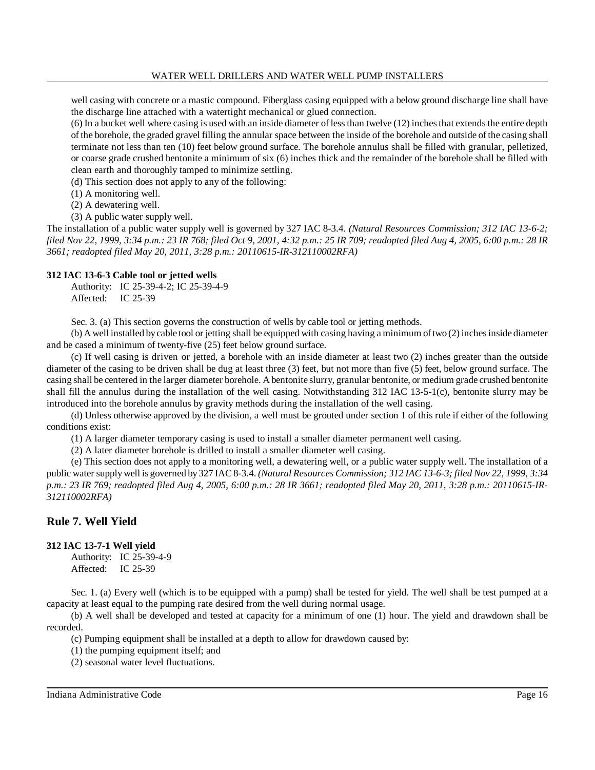well casing with concrete or a mastic compound. Fiberglass casing equipped with a below ground discharge line shall have the discharge line attached with a watertight mechanical or glued connection.

 $(6)$  In a bucket well where casing is used with an inside diameter of less than twelve  $(12)$  inches that extends the entire depth of the borehole, the graded gravel filling the annular space between the inside of the borehole and outside of the casing shall terminate not less than ten (10) feet below ground surface. The borehole annulus shall be filled with granular, pelletized, or coarse grade crushed bentonite a minimum of six (6) inches thick and the remainder of the borehole shall be filled with clean earth and thoroughly tamped to minimize settling.

(d) This section does not apply to any of the following:

(1) A monitoring well.

(2) A dewatering well.

(3) A public water supply well.

The installation of a public water supply well is governed by 327 IAC 8-3.4. *(Natural Resources Commission; 312 IAC 13-6-2;* filed Nov 22, 1999, 3:34 p.m.: 23 IR 768; filed Oct 9, 2001, 4:32 p.m.: 25 IR 709; readopted filed Aug 4, 2005, 6:00 p.m.: 28 IR *3661; readopted filed May 20, 2011, 3:28 p.m.: 20110615-IR-312110002RFA)*

## **312 IAC 13-6-3 Cable tool or jetted wells**

Authority: IC 25-39-4-2; IC 25-39-4-9 Affected: IC 25-39

Sec. 3. (a) This section governs the construction of wells by cable tool or jetting methods.

(b) A well installed bycable tool or jetting shall be equipped with casing having a minimum oftwo (2) inchesinside diameter and be cased a minimum of twenty-five (25) feet below ground surface.

(c) If well casing is driven or jetted, a borehole with an inside diameter at least two (2) inches greater than the outside diameter of the casing to be driven shall be dug at least three (3) feet, but not more than five (5) feet, below ground surface. The casing shall be centered in the larger diameter borehole. A bentonite slurry, granular bentonite, or medium grade crushed bentonite shall fill the annulus during the installation of the well casing. Notwithstanding 312 IAC 13-5-1(c), bentonite slurry may be introduced into the borehole annulus by gravity methods during the installation of the well casing.

(d) Unless otherwise approved by the division, a well must be grouted under section 1 of this rule if either of the following conditions exist:

(1) A larger diameter temporary casing is used to install a smaller diameter permanent well casing.

(2) A later diameter borehole is drilled to install a smaller diameter well casing.

(e) This section does not apply to a monitoring well, a dewatering well, or a public water supply well. The installation of a public water supply well is governed by327 IAC 8-3.4. *(Natural Resources Commission; 312 IAC 13-6-3; filed Nov 22, 1999, 3:34* p.m.: 23 IR 769; readopted filed Aug 4, 2005, 6:00 p.m.: 28 IR 3661; readopted filed May 20, 2011, 3:28 p.m.: 20110615-IR-*312110002RFA)*

# **Rule 7. Well Yield**

## **312 IAC 13-7-1 Well yield**

Authority: IC 25-39-4-9 Affected: IC 25-39

Sec. 1. (a) Every well (which is to be equipped with a pump) shall be tested for yield. The well shall be test pumped at a capacity at least equal to the pumping rate desired from the well during normal usage.

(b) A well shall be developed and tested at capacity for a minimum of one (1) hour. The yield and drawdown shall be recorded.

(c) Pumping equipment shall be installed at a depth to allow for drawdown caused by:

(1) the pumping equipment itself; and

(2) seasonal water level fluctuations.

Indiana Administrative Code Page 16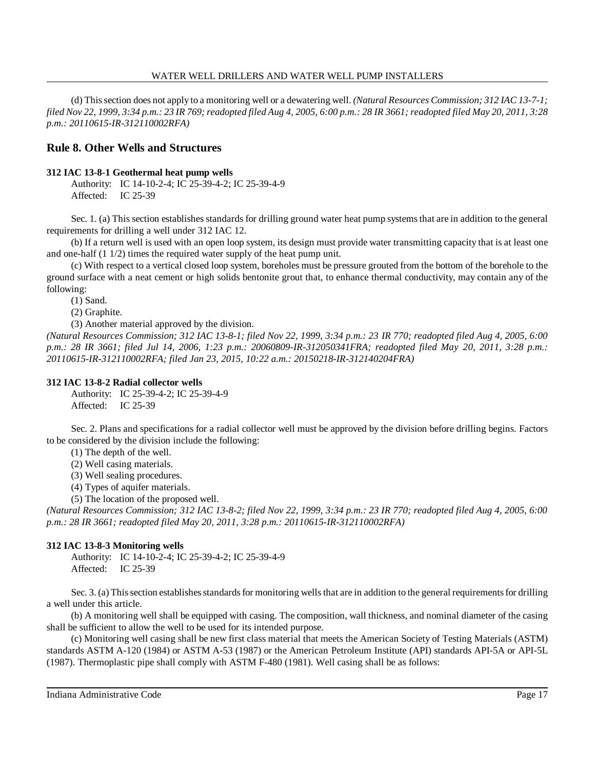(d) Thissection does not apply to a monitoring well or a dewatering well. *(Natural Resources Commission; 312 IAC 13-7-1;* filed Nov 22, 1999, 3:34 p.m.: 23 IR 769; readopted filed Aug 4, 2005, 6:00 p.m.: 28 IR 3661; readopted filed May 20, 2011, 3:28 *p.m.: 20110615-IR-312110002RFA)*

## **Rule 8. Other Wells and Structures**

## **312 IAC 13-8-1 Geothermal heat pump wells**

Authority: IC 14-10-2-4; IC 25-39-4-2; IC 25-39-4-9 Affected: IC 25-39

Sec. 1. (a) This section establishes standards for drilling ground water heat pump systems that are in addition to the general requirements for drilling a well under 312 IAC 12.

(b) If a return well is used with an open loop system, its design must provide water transmitting capacity that is at least one and one-half (1 1/2) times the required water supply of the heat pump unit.

(c) With respect to a vertical closed loop system, boreholes must be pressure grouted from the bottom of the borehole to the ground surface with a neat cement or high solids bentonite grout that, to enhance thermal conductivity, may contain any of the following:

(1) Sand.

(2) Graphite.

(3) Another material approved by the division.

*(Natural Resources Commission; 312 IAC 13-8-1; filed Nov 22, 1999, 3:34 p.m.: 23 IR 770; readopted filed Aug 4, 2005, 6:00 p.m.: 28 IR 3661; filed Jul 14, 2006, 1:23 p.m.: 20060809-IR-312050341FRA; readopted filed May 20, 2011, 3:28 p.m.: 20110615-IR-312110002RFA; filed Jan 23, 2015, 10:22 a.m.: 20150218-IR-312140204FRA)*

## **312 IAC 13-8-2 Radial collector wells**

Authority: IC 25-39-4-2; IC 25-39-4-9 Affected: IC 25-39

Sec. 2. Plans and specifications for a radial collector well must be approved by the division before drilling begins. Factors to be considered by the division include the following:

(1) The depth of the well.

(2) Well casing materials.

(3) Well sealing procedures.

(4) Types of aquifer materials.

(5) The location of the proposed well.

*(Natural Resources Commission; 312 IAC 13-8-2; filed Nov 22, 1999, 3:34 p.m.: 23 IR 770; readopted filed Aug 4, 2005, 6:00 p.m.: 28 IR 3661; readopted filed May 20, 2011, 3:28 p.m.: 20110615-IR-312110002RFA)*

## **312 IAC 13-8-3 Monitoring wells**

Authority: IC 14-10-2-4; IC 25-39-4-2; IC 25-39-4-9 Affected: IC 25-39

Sec. 3. (a) This section establishes standards for monitoring wells that are in addition to the general requirements for drilling a well under this article.

(b) A monitoring well shall be equipped with casing. The composition, wall thickness, and nominal diameter of the casing shall be sufficient to allow the well to be used for its intended purpose.

(c) Monitoring well casing shall be new first class material that meets the American Society of Testing Materials (ASTM) standards ASTM A-120 (1984) or ASTM A-53 (1987) or the American Petroleum Institute (API) standards API-5A or API-5L (1987). Thermoplastic pipe shall comply with ASTM F-480 (1981). Well casing shall be as follows: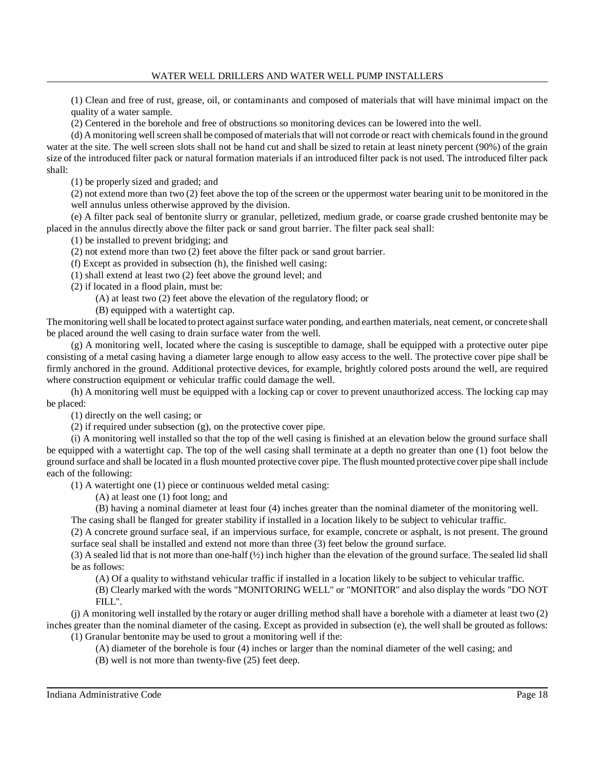(1) Clean and free of rust, grease, oil, or contaminants and composed of materials that will have minimal impact on the quality of a water sample.

(2) Centered in the borehole and free of obstructions so monitoring devices can be lowered into the well.

(d) A monitoring well screen shall be composed of materials that will not corrode or react with chemicals found in the ground water at the site. The well screen slots shall not be hand cut and shall be sized to retain at least ninety percent (90%) of the grain size of the introduced filter pack or natural formation materials if an introduced filter pack is not used. The introduced filter pack shall:

(1) be properly sized and graded; and

(2) not extend more than two (2) feet above the top of the screen or the uppermost water bearing unit to be monitored in the well annulus unless otherwise approved by the division.

(e) A filter pack seal of bentonite slurry or granular, pelletized, medium grade, or coarse grade crushed bentonite may be placed in the annulus directly above the filter pack or sand grout barrier. The filter pack seal shall:

(1) be installed to prevent bridging; and

(2) not extend more than two (2) feet above the filter pack or sand grout barrier.

(f) Except as provided in subsection (h), the finished well casing:

(1) shall extend at least two (2) feet above the ground level; and

(2) if located in a flood plain, must be:

(A) at least two (2) feet above the elevation of the regulatory flood; or

(B) equipped with a watertight cap.

The monitoring well shall be located to protect against surface water ponding, and earthen materials, neat cement, or concrete shall be placed around the well casing to drain surface water from the well.

(g) A monitoring well, located where the casing is susceptible to damage, shall be equipped with a protective outer pipe consisting of a metal casing having a diameter large enough to allow easy access to the well. The protective cover pipe shall be firmly anchored in the ground. Additional protective devices, for example, brightly colored posts around the well, are required where construction equipment or vehicular traffic could damage the well.

(h) A monitoring well must be equipped with a locking cap or cover to prevent unauthorized access. The locking cap may be placed:

(1) directly on the well casing; or

(2) if required under subsection (g), on the protective cover pipe.

(i) A monitoring well installed so that the top of the well casing is finished at an elevation below the ground surface shall be equipped with a watertight cap. The top of the well casing shall terminate at a depth no greater than one (1) foot below the ground surface and shall be located in a flush mounted protective cover pipe. The flush mounted protective cover pipe shall include each of the following:

(1) A watertight one (1) piece or continuous welded metal casing:

(A) at least one (1) foot long; and

(B) having a nominal diameter at least four (4) inches greater than the nominal diameter of the monitoring well.

The casing shall be flanged for greater stability if installed in a location likely to be subject to vehicular traffic.

(2) A concrete ground surface seal, if an impervious surface, for example, concrete or asphalt, is not present. The ground surface seal shall be installed and extend not more than three (3) feet below the ground surface.

(3) A sealed lid that is not more than one-half (½) inch higher than the elevation of the ground surface. The sealed lid shall be as follows:

(A) Of a quality to withstand vehicular traffic if installed in a location likely to be subject to vehicular traffic.

(B) Clearly marked with the words "MONITORING WELL" or "MONITOR" and also display the words "DO NOT FILL".

(j) A monitoring well installed by the rotary or auger drilling method shall have a borehole with a diameter at least two (2) inches greater than the nominal diameter of the casing. Except as provided in subsection (e), the well shall be grouted as follows:

(1) Granular bentonite may be used to grout a monitoring well if the:

(A) diameter of the borehole is four (4) inches or larger than the nominal diameter of the well casing; and

(B) well is not more than twenty-five (25) feet deep.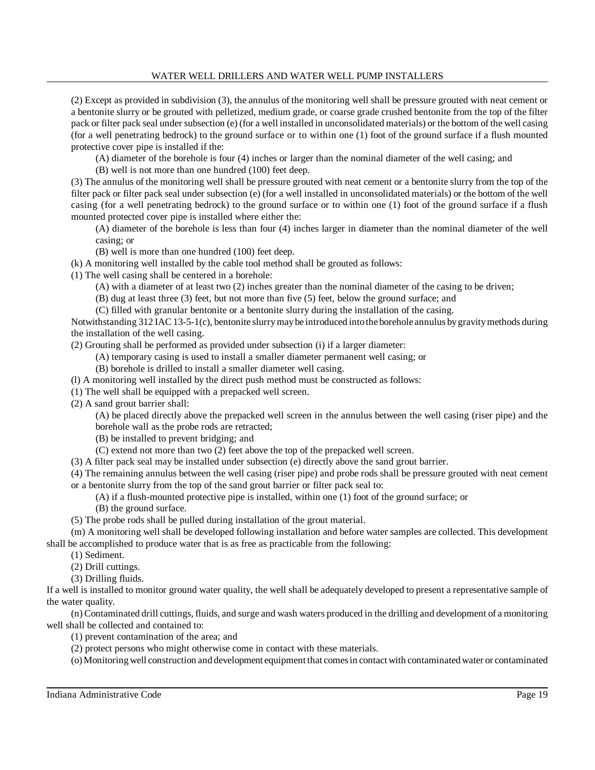(2) Except as provided in subdivision (3), the annulus of the monitoring well shall be pressure grouted with neat cement or a bentonite slurry or be grouted with pelletized, medium grade, or coarse grade crushed bentonite from the top of the filter pack or filter pack seal under subsection (e) (for a well installed in unconsolidated materials) or the bottom of the well casing (for a well penetrating bedrock) to the ground surface or to within one (1) foot of the ground surface if a flush mounted protective cover pipe is installed if the:

(A) diameter of the borehole is four (4) inches or larger than the nominal diameter of the well casing; and

(B) well is not more than one hundred (100) feet deep.

(3) The annulus of the monitoring well shall be pressure grouted with neat cement or a bentonite slurry from the top of the filter pack or filter pack seal under subsection (e) (for a well installed in unconsolidated materials) or the bottom of the well casing (for a well penetrating bedrock) to the ground surface or to within one (1) foot of the ground surface if a flush mounted protected cover pipe is installed where either the:

(A) diameter of the borehole is less than four (4) inches larger in diameter than the nominal diameter of the well casing; or

(B) well is more than one hundred (100) feet deep.

(k) A monitoring well installed by the cable tool method shall be grouted as follows:

(1) The well casing shall be centered in a borehole:

(A) with a diameter of at least two (2) inches greater than the nominal diameter of the casing to be driven;

(B) dug at least three (3) feet, but not more than five (5) feet, below the ground surface; and

(C) filled with granular bentonite or a bentonite slurry during the installation of the casing.

Notwithstanding 312 IAC 13-5-1(c), bentonite slurrymaybe introduced intothe borehole annulus bygravitymethods during the installation of the well casing.

(2) Grouting shall be performed as provided under subsection (i) if a larger diameter:

(A) temporary casing is used to install a smaller diameter permanent well casing; or

(B) borehole is drilled to install a smaller diameter well casing.

(l) A monitoring well installed by the direct push method must be constructed as follows:

(1) The well shall be equipped with a prepacked well screen.

(2) A sand grout barrier shall:

(A) be placed directly above the prepacked well screen in the annulus between the well casing (riser pipe) and the borehole wall as the probe rods are retracted;

(B) be installed to prevent bridging; and

(C) extend not more than two (2) feet above the top of the prepacked well screen.

(3) A filter pack seal may be installed under subsection (e) directly above the sand grout barrier.

(4) The remaining annulus between the well casing (riser pipe) and probe rods shall be pressure grouted with neat cement or a bentonite slurry from the top of the sand grout barrier or filter pack seal to:

(A) if a flush-mounted protective pipe is installed, within one (1) foot of the ground surface; or

(B) the ground surface.

(5) The probe rods shall be pulled during installation of the grout material.

(m) A monitoring well shall be developed following installation and before water samples are collected. This development shall be accomplished to produce water that is as free as practicable from the following:

(1) Sediment.

(2) Drill cuttings.

(3) Drilling fluids.

If a well is installed to monitor ground water quality, the well shall be adequately developed to present a representative sample of the water quality.

(n) Contaminated drill cuttings, fluids, and surge and wash waters produced in the drilling and development of a monitoring well shall be collected and contained to:

(1) prevent contamination of the area; and

(2) protect persons who might otherwise come in contact with these materials.

(o)Monitoring well construction and development equipment that comes in contact with contaminated water or contaminated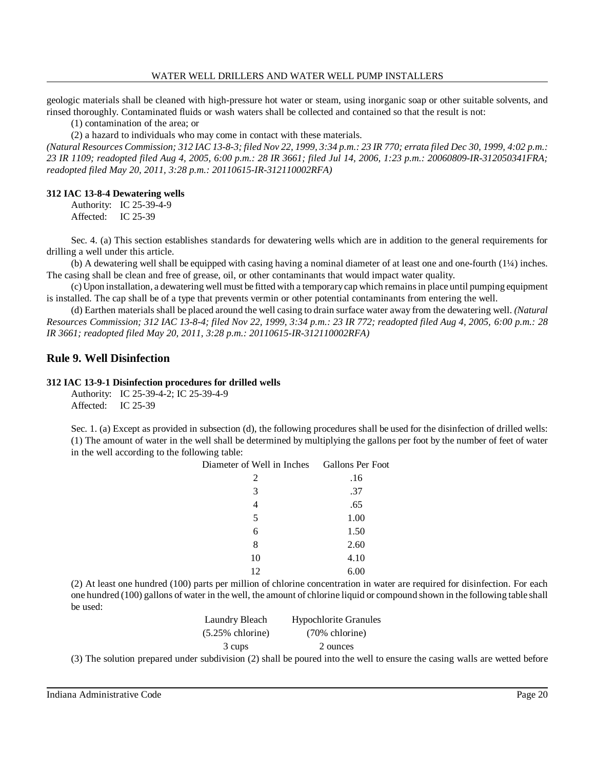geologic materials shall be cleaned with high-pressure hot water or steam, using inorganic soap or other suitable solvents, and rinsed thoroughly. Contaminated fluids or wash waters shall be collected and contained so that the result is not:

(1) contamination of the area; or

(2) a hazard to individuals who may come in contact with these materials.

(Natural Resources Commission; 312 IAC 13-8-3; filed Nov 22, 1999, 3:34 p.m.: 23 IR 770; errata filed Dec 30, 1999, 4:02 p.m.: 23 IR 1109; readopted filed Aug 4, 2005, 6:00 p.m.: 28 IR 3661; filed Jul 14, 2006, 1:23 p.m.: 20060809-IR-312050341FRA; *readopted filed May 20, 2011, 3:28 p.m.: 20110615-IR-312110002RFA)*

#### **312 IAC 13-8-4 Dewatering wells**

Authority: IC 25-39-4-9 Affected: IC 25-39

Sec. 4. (a) This section establishes standards for dewatering wells which are in addition to the general requirements for drilling a well under this article.

(b) A dewatering well shall be equipped with casing having a nominal diameter of at least one and one-fourth (1¼) inches. The casing shall be clean and free of grease, oil, or other contaminants that would impact water quality.

(c) Upon installation, a dewatering well must be fitted with a temporarycap which remainsin place until pumping equipment is installed. The cap shall be of a type that prevents vermin or other potential contaminants from entering the well.

(d) Earthen materials shall be placed around the well casing to drain surface water away from the dewatering well. *(Natural Resources Commission; 312 IAC 13-8-4; filed Nov 22, 1999, 3:34 p.m.: 23 IR 772; readopted filed Aug 4, 2005, 6:00 p.m.: 28 IR 3661; readopted filed May 20, 2011, 3:28 p.m.: 20110615-IR-312110002RFA)*

## **Rule 9. Well Disinfection**

#### **312 IAC 13-9-1 Disinfection procedures for drilled wells**

Authority: IC 25-39-4-2; IC 25-39-4-9 Affected: IC 25-39

Sec. 1. (a) Except as provided in subsection (d), the following procedures shall be used for the disinfection of drilled wells: (1) The amount of water in the well shall be determined by multiplying the gallons per foot by the number of feet of water in the well according to the following table:

| Diameter of Well in Inches Gallons Per Foot |      |
|---------------------------------------------|------|
| 2                                           | .16  |
| 3                                           | .37  |
| 4                                           | .65  |
| 5                                           | 1.00 |
| 6                                           | 1.50 |
| 8                                           | 2.60 |
| 10                                          | 4.10 |
| 12                                          | 6.00 |

(2) At least one hundred (100) parts per million of chlorine concentration in water are required for disinfection. For each one hundred (100) gallons of water in the well, the amount of chlorine liquid or compound shown in the following table shall be used:

| Laundry Bleach      | <b>Hypochlorite Granules</b>                                |
|---------------------|-------------------------------------------------------------|
| $(5.25\%$ chlorine) | $(70\%$ chlorine)                                           |
| 3 cups              | 2 ounces                                                    |
|                     | $\epsilon$ subdivision (2) shall be noured into the well to |

(3) The solution prepared under subdivision (2) shall be poured into the well to ensure the casing walls are wetted before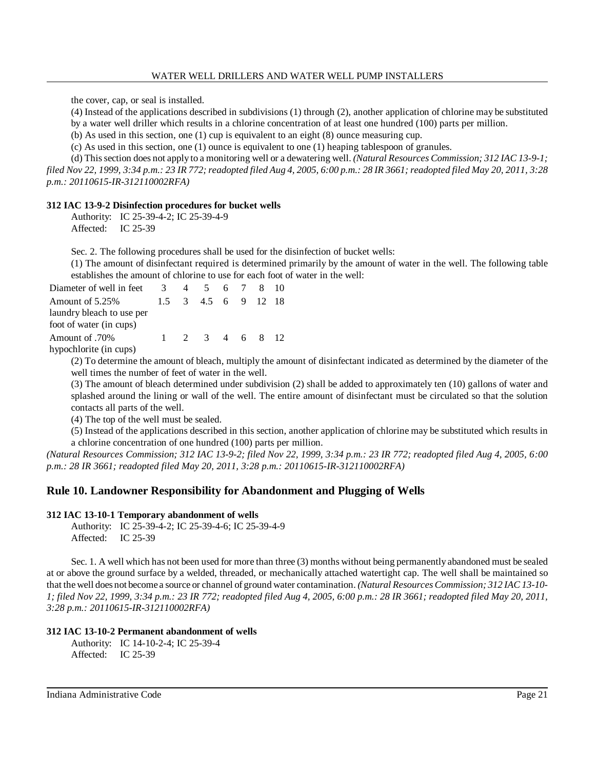the cover, cap, or seal is installed.

(4) Instead of the applications described in subdivisions (1) through (2), another application of chlorine may be substituted

by a water well driller which results in a chlorine concentration of at least one hundred (100) parts per million.

(b) As used in this section, one (1) cup is equivalent to an eight (8) ounce measuring cup.

(c) As used in this section, one (1) ounce is equivalent to one (1) heaping tablespoon of granules.

(d) Thissection does not apply to a monitoring well or a dewatering well. *(Natural Resources Commission; 312 IAC 13-9-1;* filed Nov 22, 1999, 3:34 p.m.: 23 IR 772; readopted filed Aug 4, 2005, 6:00 p.m.: 28 IR 3661; readopted filed May 20, 2011, 3:28 *p.m.: 20110615-IR-312110002RFA)*

## **312 IAC 13-9-2 Disinfection procedures for bucket wells**

Authority: IC 25-39-4-2; IC 25-39-4-9 Affected: IC 25-39

Sec. 2. The following procedures shall be used for the disinfection of bucket wells:

(1) The amount of disinfectant required is determined primarily by the amount of water in the well. The following table establishes the amount of chlorine to use for each foot of water in the well:

| Diameter of well in feet  | $\overline{3}$ | 4 5 6 7 8 10        |  |  |
|---------------------------|----------------|---------------------|--|--|
| Amount of 5.25%           |                | 1.5 3 4.5 6 9 12 18 |  |  |
| laundry bleach to use per |                |                     |  |  |
| foot of water (in cups)   |                |                     |  |  |
| .70% Amount of            | $\mathbf{1}$   | 2 3 4 6 8 12        |  |  |
| hypochlorite (in cups)    |                |                     |  |  |

(2) To determine the amount of bleach, multiply the amount of disinfectant indicated as determined by the diameter of the well times the number of feet of water in the well.

(3) The amount of bleach determined under subdivision (2) shall be added to approximately ten (10) gallons of water and splashed around the lining or wall of the well. The entire amount of disinfectant must be circulated so that the solution contacts all parts of the well.

(4) The top of the well must be sealed.

(5) Instead of the applications described in this section, another application of chlorine may be substituted which results in a chlorine concentration of one hundred (100) parts per million.

*(Natural Resources Commission; 312 IAC 13-9-2; filed Nov 22, 1999, 3:34 p.m.: 23 IR 772; readopted filed Aug 4, 2005, 6:00 p.m.: 28 IR 3661; readopted filed May 20, 2011, 3:28 p.m.: 20110615-IR-312110002RFA)*

# **Rule 10. Landowner Responsibility for Abandonment and Plugging of Wells**

## **312 IAC 13-10-1 Temporary abandonment of wells**

Authority: IC 25-39-4-2; IC 25-39-4-6; IC 25-39-4-9 Affected: IC 25-39

Sec. 1. A well which has not been used for more than three (3) months without being permanently abandoned must be sealed at or above the ground surface by a welded, threaded, or mechanically attached watertight cap. The well shall be maintained so that the well does not become a source or channel of ground water contamination. *(Natural ResourcesCommission; 312 IAC 13-10-* 1; filed Nov 22, 1999, 3:34 p.m.: 23 IR 772; readopted filed Aug 4, 2005, 6:00 p.m.: 28 IR 3661; readopted filed May 20, 2011, *3:28 p.m.: 20110615-IR-312110002RFA)*

## **312 IAC 13-10-2 Permanent abandonment of wells**

Authority: IC 14-10-2-4; IC 25-39-4 Affected: IC 25-39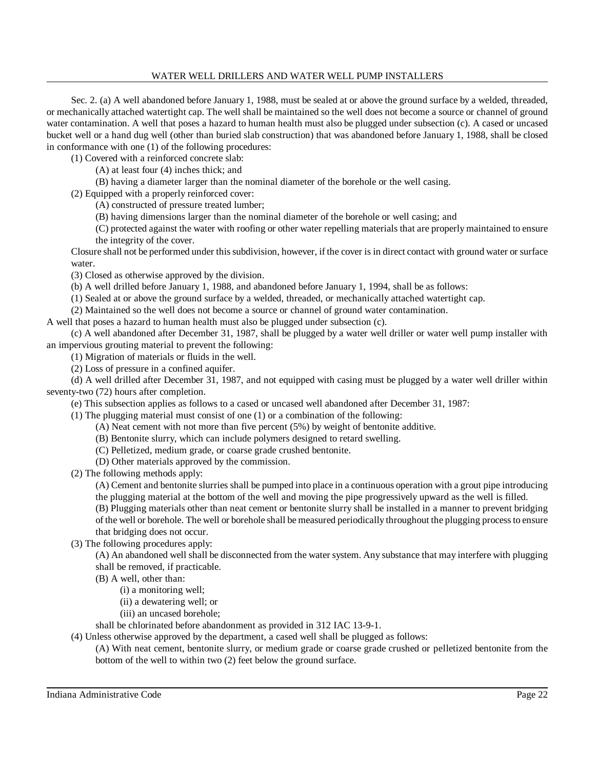Sec. 2. (a) A well abandoned before January 1, 1988, must be sealed at or above the ground surface by a welded, threaded, or mechanically attached watertight cap. The well shall be maintained so the well does not become a source or channel of ground water contamination. A well that poses a hazard to human health must also be plugged under subsection (c). A cased or uncased bucket well or a hand dug well (other than buried slab construction) that was abandoned before January 1, 1988, shall be closed in conformance with one (1) of the following procedures:

(1) Covered with a reinforced concrete slab:

(A) at least four (4) inches thick; and

(B) having a diameter larger than the nominal diameter of the borehole or the well casing.

(2) Equipped with a properly reinforced cover:

(A) constructed of pressure treated lumber;

(B) having dimensions larger than the nominal diameter of the borehole or well casing; and

(C) protected against the water with roofing or other water repelling materials that are properly maintained to ensure the integrity of the cover.

Closure shall not be performed under thissubdivision, however, if the cover is in direct contact with ground water or surface water.

(3) Closed as otherwise approved by the division.

(b) A well drilled before January 1, 1988, and abandoned before January 1, 1994, shall be as follows:

(1) Sealed at or above the ground surface by a welded, threaded, or mechanically attached watertight cap.

(2) Maintained so the well does not become a source or channel of ground water contamination.

A well that poses a hazard to human health must also be plugged under subsection (c).

(c) A well abandoned after December 31, 1987, shall be plugged by a water well driller or water well pump installer with an impervious grouting material to prevent the following:

(1) Migration of materials or fluids in the well.

(2) Loss of pressure in a confined aquifer.

(d) A well drilled after December 31, 1987, and not equipped with casing must be plugged by a water well driller within seventy-two (72) hours after completion.

(e) This subsection applies as follows to a cased or uncased well abandoned after December 31, 1987:

(1) The plugging material must consist of one (1) or a combination of the following:

- (A) Neat cement with not more than five percent (5%) by weight of bentonite additive.
- (B) Bentonite slurry, which can include polymers designed to retard swelling.
- (C) Pelletized, medium grade, or coarse grade crushed bentonite.
- (D) Other materials approved by the commission.

(2) The following methods apply:

(A) Cement and bentonite slurries shall be pumped into place in a continuous operation with a grout pipe introducing

the plugging material at the bottom of the well and moving the pipe progressively upward as the well is filled.

(B) Plugging materials other than neat cement or bentonite slurry shall be installed in a manner to prevent bridging of the well or borehole. The well or borehole shall be measured periodically throughout the plugging processto ensure that bridging does not occur.

(3) The following procedures apply:

(A) An abandoned well shall be disconnected from the water system. Any substance that may interfere with plugging shall be removed, if practicable.

(B) A well, other than:

(i) a monitoring well;

(ii) a dewatering well; or

(iii) an uncased borehole;

shall be chlorinated before abandonment as provided in 312 IAC 13-9-1.

(4) Unless otherwise approved by the department, a cased well shall be plugged as follows:

(A) With neat cement, bentonite slurry, or medium grade or coarse grade crushed or pelletized bentonite from the bottom of the well to within two (2) feet below the ground surface.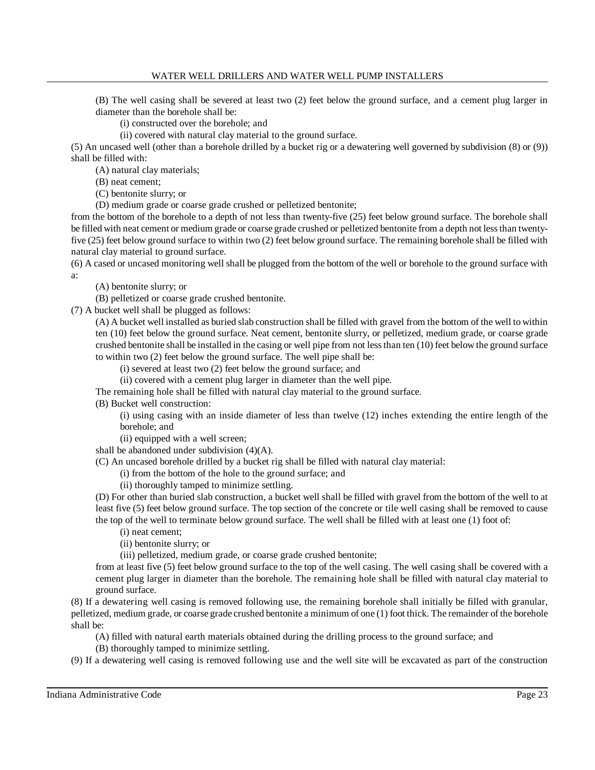(B) The well casing shall be severed at least two (2) feet below the ground surface, and a cement plug larger in diameter than the borehole shall be:

(i) constructed over the borehole; and

(ii) covered with natural clay material to the ground surface.

(5) An uncased well (other than a borehole drilled by a bucket rig or a dewatering well governed by subdivision (8) or (9)) shall be filled with:

(A) natural clay materials;

(B) neat cement;

(C) bentonite slurry; or

(D) medium grade or coarse grade crushed or pelletized bentonite;

from the bottom of the borehole to a depth of not less than twenty-five (25) feet below ground surface. The borehole shall be filled with neat cement or medium grade or coarse grade crushed or pelletized bentonite from a depth not lessthan twentyfive (25) feet below ground surface to within two (2) feet below ground surface. The remaining borehole shall be filled with natural clay material to ground surface.

(6) A cased or uncased monitoring well shall be plugged from the bottom of the well or borehole to the ground surface with a:

(A) bentonite slurry; or

(B) pelletized or coarse grade crushed bentonite.

(7) A bucket well shall be plugged as follows:

(A) A bucket well installed as buried slab construction shall be filled with gravel from the bottom of the well to within ten (10) feet below the ground surface. Neat cement, bentonite slurry, or pelletized, medium grade, or coarse grade crushed bentonite shall be installed in the casing or well pipe from not lessthan ten (10) feet below the ground surface to within two (2) feet below the ground surface. The well pipe shall be:

(i) severed at least two (2) feet below the ground surface; and

(ii) covered with a cement plug larger in diameter than the well pipe.

The remaining hole shall be filled with natural clay material to the ground surface.

(B) Bucket well construction:

(i) using casing with an inside diameter of less than twelve (12) inches extending the entire length of the borehole; and

(ii) equipped with a well screen;

shall be abandoned under subdivision (4)(A).

(C) An uncased borehole drilled by a bucket rig shall be filled with natural clay material:

(i) from the bottom of the hole to the ground surface; and

(ii) thoroughly tamped to minimize settling.

(D) For other than buried slab construction, a bucket well shall be filled with gravel from the bottom of the well to at least five (5) feet below ground surface. The top section of the concrete or tile well casing shall be removed to cause the top of the well to terminate below ground surface. The well shall be filled with at least one (1) foot of:

(i) neat cement;

(ii) bentonite slurry; or

(iii) pelletized, medium grade, or coarse grade crushed bentonite;

from at least five (5) feet below ground surface to the top of the well casing. The well casing shall be covered with a cement plug larger in diameter than the borehole. The remaining hole shall be filled with natural clay material to ground surface.

(8) If a dewatering well casing is removed following use, the remaining borehole shall initially be filled with granular, pelletized, medium grade, or coarse grade crushed bentonite a minimum of one (1) foot thick. The remainder of the borehole shall be:

(A) filled with natural earth materials obtained during the drilling process to the ground surface; and

(B) thoroughly tamped to minimize settling.

(9) If a dewatering well casing is removed following use and the well site will be excavated as part of the construction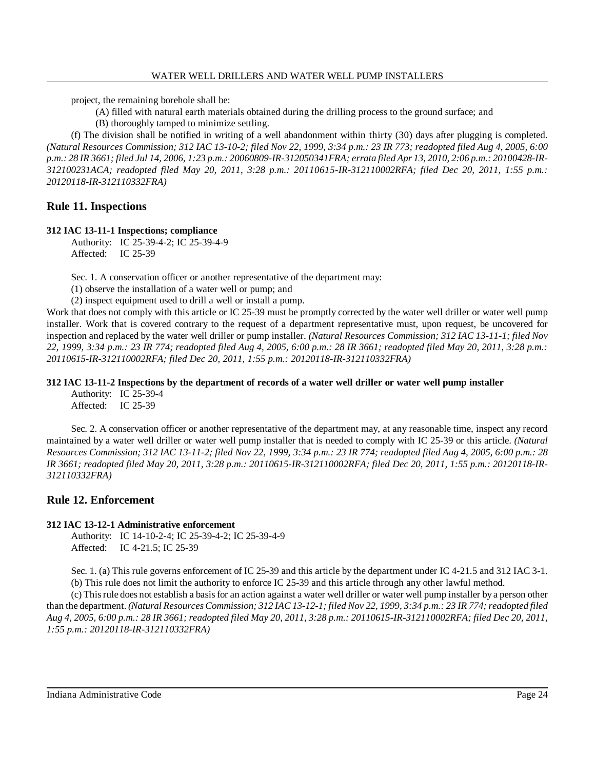project, the remaining borehole shall be:

- (A) filled with natural earth materials obtained during the drilling process to the ground surface; and
- (B) thoroughly tamped to minimize settling.

(f) The division shall be notified in writing of a well abandonment within thirty (30) days after plugging is completed. (Natural Resources Commission; 312 IAC 13-10-2; filed Nov 22, 1999, 3:34 p.m.: 23 IR 773; readopted filed Aug 4, 2005, 6:00 p.m.: 28 IR 3661; filed Jul 14, 2006, 1:23 p.m.: 20060809-IR-312050341FRA; errata filed Apr 13, 2010, 2:06 p.m.: 20100428-IR-*312100231ACA; readopted filed May 20, 2011, 3:28 p.m.: 20110615-IR-312110002RFA; filed Dec 20, 2011, 1:55 p.m.: 20120118-IR-312110332FRA)*

# **Rule 11. Inspections**

## **312 IAC 13-11-1 Inspections; compliance**

Authority: IC 25-39-4-2; IC 25-39-4-9 Affected: IC 25-39

Sec. 1. A conservation officer or another representative of the department may:

(1) observe the installation of a water well or pump; and

(2) inspect equipment used to drill a well or install a pump.

Work that does not comply with this article or IC 25-39 must be promptly corrected by the water well driller or water well pump installer. Work that is covered contrary to the request of a department representative must, upon request, be uncovered for inspection and replaced by the water well driller or pump installer. *(Natural Resources Commission; 312 IAC 13-11-1; filed Nov 22, 1999, 3:34 p.m.: 23 IR 774; readopted filed Aug 4, 2005, 6:00 p.m.: 28 IR 3661; readopted filed May 20, 2011, 3:28 p.m.: 20110615-IR-312110002RFA; filed Dec 20, 2011, 1:55 p.m.: 20120118-IR-312110332FRA)*

## **312 IAC 13-11-2 Inspections by the department of records of a water well driller or water well pump installer**

Authority: IC 25-39-4 Affected: IC 25-39

Sec. 2. A conservation officer or another representative of the department may, at any reasonable time, inspect any record maintained by a water well driller or water well pump installer that is needed to comply with IC 25-39 or this article. *(Natural* Resources Commission; 312 IAC 13-11-2; filed Nov 22, 1999, 3:34 p.m.: 23 IR 774; readopted filed Aug 4, 2005, 6:00 p.m.: 28 *IR 3661; readopted filed May 20, 2011, 3:28 p.m.: 20110615-IR-312110002RFA; filed Dec 20, 2011, 1:55 p.m.: 20120118-IR-312110332FRA)*

# **Rule 12. Enforcement**

## **312 IAC 13-12-1 Administrative enforcement**

Authority: IC 14-10-2-4; IC 25-39-4-2; IC 25-39-4-9 Affected: IC 4-21.5; IC 25-39

Sec. 1. (a) This rule governs enforcement of IC 25-39 and this article by the department under IC 4-21.5 and 312 IAC 3-1. (b) This rule does not limit the authority to enforce IC 25-39 and this article through any other lawful method.

(c) Thisrule does not establish a basisfor an action against a water well driller or water well pump installer by a person other than the department. (Natural Resources Commission; 312 IAC 13-12-1; filed Nov 22, 1999, 3:34 p.m.: 23 IR 774; readopted filed Aug 4, 2005, 6:00 p.m.: 28 IR 3661; readopted filed May 20, 2011, 3:28 p.m.: 20110615-IR-312110002RFA; filed Dec 20, 2011, *1:55 p.m.: 20120118-IR-312110332FRA)*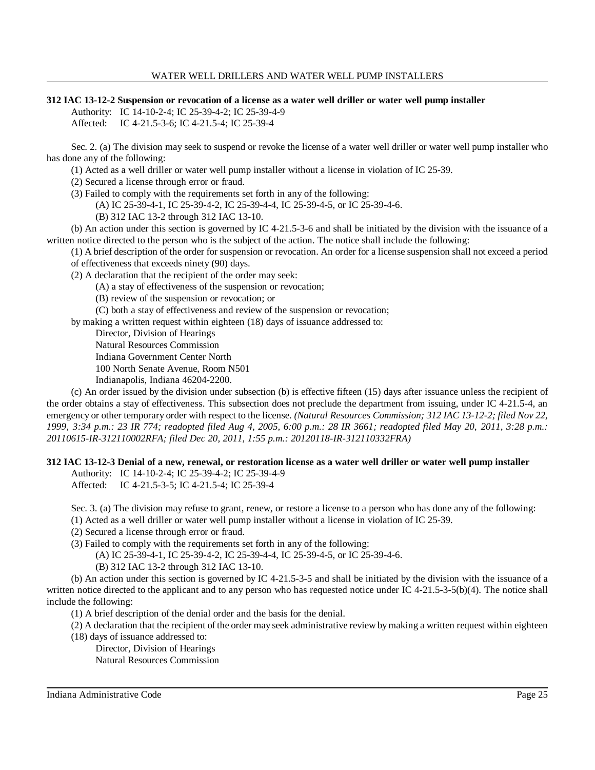### **312 IAC 13-12-2 Suspension or revocation of a license as a water well driller or water well pump installer**

Authority: IC 14-10-2-4; IC 25-39-4-2; IC 25-39-4-9

Affected: IC 4-21.5-3-6; IC 4-21.5-4; IC 25-39-4

Sec. 2. (a) The division may seek to suspend or revoke the license of a water well driller or water well pump installer who has done any of the following:

(1) Acted as a well driller or water well pump installer without a license in violation of IC 25-39.

(2) Secured a license through error or fraud.

(3) Failed to comply with the requirements set forth in any of the following:

(A) IC 25-39-4-1, IC 25-39-4-2, IC 25-39-4-4, IC 25-39-4-5, or IC 25-39-4-6.

(B) 312 IAC 13-2 through 312 IAC 13-10.

(b) An action under this section is governed by IC 4-21.5-3-6 and shall be initiated by the division with the issuance of a written notice directed to the person who is the subject of the action. The notice shall include the following:

(1) A brief description of the order for suspension or revocation. An order for a license suspension shall not exceed a period of effectiveness that exceeds ninety (90) days.

(2) A declaration that the recipient of the order may seek:

(A) a stay of effectiveness of the suspension or revocation;

(B) review of the suspension or revocation; or

(C) both a stay of effectiveness and review of the suspension or revocation;

by making a written request within eighteen (18) days of issuance addressed to:

Director, Division of Hearings

Natural Resources Commission

Indiana Government Center North

100 North Senate Avenue, Room N501

Indianapolis, Indiana 46204-2200.

(c) An order issued by the division under subsection (b) is effective fifteen (15) days after issuance unless the recipient of the order obtains a stay of effectiveness. This subsection does not preclude the department from issuing, under IC 4-21.5-4, an emergency or other temporary order with respect to the license. *(Natural Resources Commission; 312 IAC 13-12-2; filed Nov 22, 1999, 3:34 p.m.: 23 IR 774; readopted filed Aug 4, 2005, 6:00 p.m.: 28 IR 3661; readopted filed May 20, 2011, 3:28 p.m.: 20110615-IR-312110002RFA; filed Dec 20, 2011, 1:55 p.m.: 20120118-IR-312110332FRA)*

## **312 IAC 13-12-3 Denial of a new, renewal, or restoration license as a water well driller or water well pump installer**

Authority: IC 14-10-2-4; IC 25-39-4-2; IC 25-39-4-9 Affected: IC 4-21.5-3-5; IC 4-21.5-4; IC 25-39-4

Sec. 3. (a) The division may refuse to grant, renew, or restore a license to a person who has done any of the following:

(1) Acted as a well driller or water well pump installer without a license in violation of IC 25-39.

(2) Secured a license through error or fraud.

(3) Failed to comply with the requirements set forth in any of the following:

(A) IC 25-39-4-1, IC 25-39-4-2, IC 25-39-4-4, IC 25-39-4-5, or IC 25-39-4-6.

(B) 312 IAC 13-2 through 312 IAC 13-10.

(b) An action under this section is governed by IC 4-21.5-3-5 and shall be initiated by the division with the issuance of a written notice directed to the applicant and to any person who has requested notice under IC 4-21.5-3-5(b)(4). The notice shall include the following:

(1) A brief description of the denial order and the basis for the denial.

(2) A declaration that the recipient of the order may seek administrative review bymaking a written request within eighteen

(18) days of issuance addressed to:

Director, Division of Hearings

Natural Resources Commission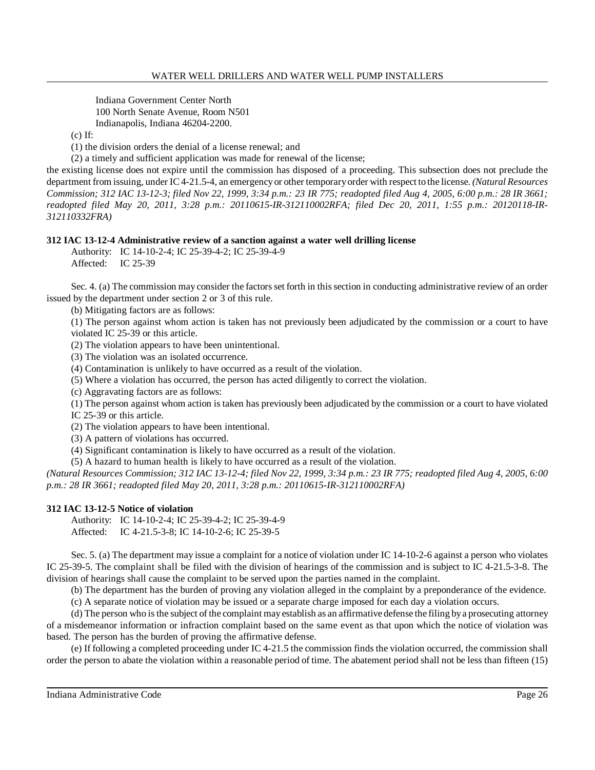Indiana Government Center North 100 North Senate Avenue, Room N501 Indianapolis, Indiana 46204-2200.

 $(c)$  If:

(1) the division orders the denial of a license renewal; and

(2) a timely and sufficient application was made for renewal of the license;

the existing license does not expire until the commission has disposed of a proceeding. This subsection does not preclude the department from issuing, under IC 4-21.5-4, an emergencyor other temporaryorder with respect to the license. *(Natural Resources Commission; 312 IAC 13-12-3; filed Nov 22, 1999, 3:34 p.m.: 23 IR 775; readopted filed Aug 4, 2005, 6:00 p.m.: 28 IR 3661; readopted filed May 20, 2011, 3:28 p.m.: 20110615-IR-312110002RFA; filed Dec 20, 2011, 1:55 p.m.: 20120118-IR-312110332FRA)*

## **312 IAC 13-12-4 Administrative review of a sanction against a water well drilling license**

Authority: IC 14-10-2-4; IC 25-39-4-2; IC 25-39-4-9 Affected: IC 25-39

Sec. 4. (a) The commission may consider the factors set forth in this section in conducting administrative review of an order issued by the department under section 2 or 3 of this rule.

(b) Mitigating factors are as follows:

(1) The person against whom action is taken has not previously been adjudicated by the commission or a court to have violated IC 25-39 or this article.

(2) The violation appears to have been unintentional.

(3) The violation was an isolated occurrence.

(4) Contamination is unlikely to have occurred as a result of the violation.

(5) Where a violation has occurred, the person has acted diligently to correct the violation.

(c) Aggravating factors are as follows:

(1) The person against whom action is taken has previously been adjudicated by the commission or a court to have violated

IC 25-39 or this article.

(2) The violation appears to have been intentional.

(3) A pattern of violations has occurred.

(4) Significant contamination is likely to have occurred as a result of the violation.

(5) A hazard to human health is likely to have occurred as a result of the violation.

(Natural Resources Commission; 312 IAC 13-12-4; filed Nov 22, 1999, 3:34 p.m.: 23 IR 775; readopted filed Aug 4, 2005, 6:00 *p.m.: 28 IR 3661; readopted filed May 20, 2011, 3:28 p.m.: 20110615-IR-312110002RFA)*

## **312 IAC 13-12-5 Notice of violation**

Authority: IC 14-10-2-4; IC 25-39-4-2; IC 25-39-4-9 Affected: IC 4-21.5-3-8; IC 14-10-2-6; IC 25-39-5

Sec. 5. (a) The department may issue a complaint for a notice of violation under IC 14-10-2-6 against a person who violates IC 25-39-5. The complaint shall be filed with the division of hearings of the commission and is subject to IC 4-21.5-3-8. The division of hearings shall cause the complaint to be served upon the parties named in the complaint.

(b) The department has the burden of proving any violation alleged in the complaint by a preponderance of the evidence.

(c) A separate notice of violation may be issued or a separate charge imposed for each day a violation occurs.

(d) The person who isthe subject of the complaint mayestablish as an affirmative defense the filing bya prosecuting attorney of a misdemeanor information or infraction complaint based on the same event as that upon which the notice of violation was based. The person has the burden of proving the affirmative defense.

(e) If following a completed proceeding under IC 4-21.5 the commission finds the violation occurred, the commission shall order the person to abate the violation within a reasonable period of time. The abatement period shall not be less than fifteen (15)